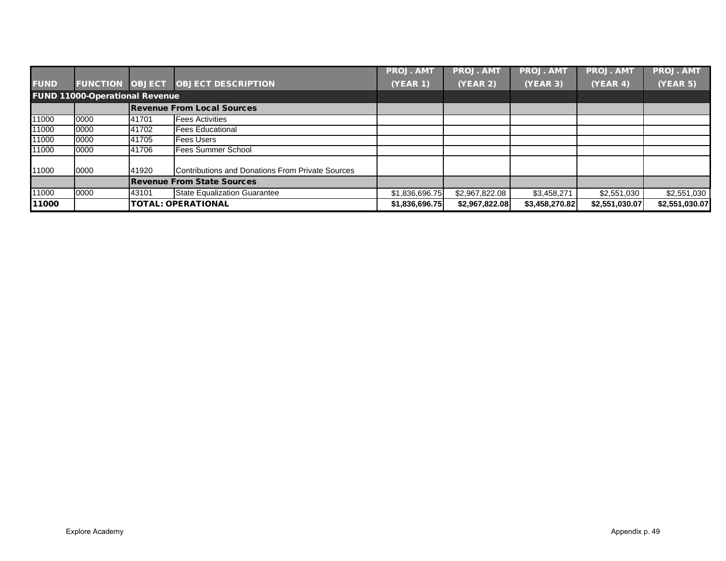|             |                                       |       |                                                  | <b>PROJ. AMT</b> | <b>PROJ. AMT</b> | <b>PROJ. AMT</b> | <b>PROJ. AM</b> | <b>PROJ. AMT</b> |
|-------------|---------------------------------------|-------|--------------------------------------------------|------------------|------------------|------------------|-----------------|------------------|
| <b>FUND</b> | <b>FUNCTION OBJECT</b>                |       | <b>OBJECT DESCRIPTION</b>                        | <b>(YEAR 1)</b>  | (YEAR 2)         | (YEAR 3)         | (YEAR 4)        | (YEAR 5)         |
|             | <b>FUND 11000-Operational Revenue</b> |       |                                                  |                  |                  |                  |                 |                  |
|             |                                       |       | <b>Revenue From Local Sources</b>                |                  |                  |                  |                 |                  |
| 11000       | 0000                                  | 41701 | <b>Fees Activities</b>                           |                  |                  |                  |                 |                  |
| 11000       | 0000                                  | 41702 | <b>Fees Educational</b>                          |                  |                  |                  |                 |                  |
| 11000       | 0000                                  | 41705 | <b>Fees Users</b>                                |                  |                  |                  |                 |                  |
| 11000       | 0000                                  | 41706 | <b>Fees Summer School</b>                        |                  |                  |                  |                 |                  |
| 11000       | 0000                                  | 41920 | Contributions and Donations From Private Sources |                  |                  |                  |                 |                  |
|             |                                       |       | <b>Revenue From State Sources</b>                |                  |                  |                  |                 |                  |
| 11000       | 0000                                  | 43101 | <b>State Equalization Guarantee</b>              | \$1,836,696.75   | \$2,967,822.08   | \$3,458,271      | \$2,551,030     | \$2,551,030      |
| 11000       |                                       |       | <b>TOTAL: OPERATIONAL</b>                        | \$1,836,696.75   | \$2,967,822.08   | \$3,458,270.82   | \$2,551,030.07  | \$2,551,030.07   |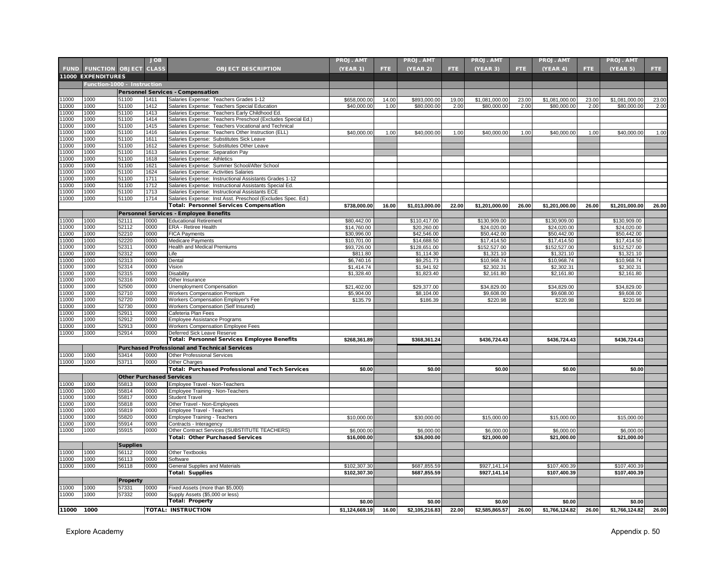|                |                             |                                 | <b>JOB</b>   |                                                                                                | <b>PROJ. AMT</b> |               | <b>PROJ. AMT</b> |               | <b>PROJ. AMT</b> |               | PROJ. AMT      |               | <b>PROJ. AMT</b> |               |
|----------------|-----------------------------|---------------------------------|--------------|------------------------------------------------------------------------------------------------|------------------|---------------|------------------|---------------|------------------|---------------|----------------|---------------|------------------|---------------|
|                | <b>FUND FUNCTION OBJECT</b> |                                 | <b>CLASS</b> | <b>OBJECT DESCRIPTION</b>                                                                      | (YEAR 1)         | FTE.          | <b>(YEAR 2)</b>  | FTE.          | (YEAR 3)         | FTE.          | (YEAR 4)       | FTE.          | (YEAR 5)         | FTE.          |
|                | 11000 EXPENDITURES          |                                 |              |                                                                                                |                  |               |                  |               |                  |               |                |               |                  |               |
|                | Function-1000 - Instruction |                                 |              |                                                                                                |                  |               |                  |               |                  |               |                |               |                  |               |
|                |                             |                                 |              |                                                                                                |                  |               |                  |               |                  |               |                |               |                  |               |
|                |                             |                                 |              | <b>Personnel Services - Compensation</b>                                                       |                  |               |                  |               |                  |               |                |               |                  |               |
| 11000<br>11000 | 1000<br>1000                | 51100<br>51100                  | 1411<br>1412 | Salaries Expense: Teachers Grades 1-12                                                         | \$658,000.00     | 14.00<br>1.00 | \$893,000.00     | 19.00<br>2.00 | \$1,081,000.00   | 23.00<br>2.00 | \$1,081,000.00 | 23.00<br>2.00 | \$1,081,000.00   | 23.00<br>2.00 |
| 11000          | 1000                        | 51100                           | 1413         | Salaries Expense: Teachers Special Education<br>Salaries Expense: Teachers Early Childhood Ed. | \$40,000.00      |               | \$80,000.00      |               | \$80,000.00      |               | \$80,000.00    |               | \$80,000.00      |               |
| 1000           | 1000                        | 51100                           | 1414         | Salaries Expense: Teachers Preschool (Excludes Special Ed.)                                    |                  |               |                  |               |                  |               |                |               |                  |               |
| 11000          | 1000                        | 51100                           | 1415         | Salaries Expense: Teachers Vocational and Technical                                            |                  |               |                  |               |                  |               |                |               |                  |               |
| 11000          | 1000                        | 51100                           | 1416         | Salaries Expense: Teachers Other Instruction (ELL)                                             | \$40,000.00      | 1.00          | \$40,000.00      | 1.00          | \$40,000.00      | 1.00          | \$40,000.00    | 1.00          | \$40,000.00      | 1.00          |
| 11000          | 1000                        | 51100                           | 1611         | Salaries Expense: Substitutes Sick Leave                                                       |                  |               |                  |               |                  |               |                |               |                  |               |
| 11000          | 1000                        | 51100                           | 1612         | Salaries Expense: Substitutes Other Leave                                                      |                  |               |                  |               |                  |               |                |               |                  |               |
| 11000          | 1000                        | 51100                           | 1613         | Salaries Expense: Separation Pay                                                               |                  |               |                  |               |                  |               |                |               |                  |               |
| 11000          | 1000                        | 51100                           | 1618         | Salaries Expense: Athletics                                                                    |                  |               |                  |               |                  |               |                |               |                  |               |
| 1000           | 1000                        | 51100                           | 1621         | Salaries Expense: Summer School/After School                                                   |                  |               |                  |               |                  |               |                |               |                  |               |
| 11000          | 1000                        | 51100                           | 1624         | Salaries Expense: Activities Salaries                                                          |                  |               |                  |               |                  |               |                |               |                  |               |
| 11000          | 1000                        | 51100                           | 1711         | Salaries Expense: Instructional Assistants Grades 1-12                                         |                  |               |                  |               |                  |               |                |               |                  |               |
| 11000          | 1000                        | 51100                           | 1712         | Salaries Expense: Instructional Assistants Special Ed.                                         |                  |               |                  |               |                  |               |                |               |                  |               |
| 11000          | 1000                        | 51100                           | 1713         | Salaries Expense: Instructional Assistants ECE                                                 |                  |               |                  |               |                  |               |                |               |                  |               |
| 11000          | 1000                        | 51100                           | 1714         | Salaries Expense: Inst Asst. Preschool (Excludes Spec. Ed.)                                    |                  |               |                  |               |                  |               |                |               |                  |               |
|                |                             |                                 |              | <b>Total: Personnel Services Compensation</b>                                                  | \$738,000.00     | 16.00         | \$1,013,000.00   | 22.00         | \$1,201,000.00   | 26.00         | \$1,201,000.00 | 26.00         | \$1,201,000.00   | 26.00         |
|                |                             |                                 |              | Personnel Services - Employee Benefits                                                         |                  |               |                  |               |                  |               |                |               |                  |               |
| 1000           | 1000                        | 52111                           | 0000         | <b>Educational Retirement</b>                                                                  | \$80,442.00      |               | \$110,417.00     |               | \$130,909.00     |               | \$130,909.00   |               | \$130,909.00     |               |
| 11000          | 1000                        | 52112                           | 0000         | ERA - Retiree Health                                                                           | \$14,760.00      |               | \$20,260.00      |               | \$24,020.00      |               | \$24,020.00    |               | \$24,020.00      |               |
| 11000          | 1000                        | 52210                           | 0000         | <b>FICA Payments</b>                                                                           | \$30,996.00      |               | \$42,546.00      |               | \$50,442.00      |               | \$50,442.00    |               | \$50,442.00      |               |
| 11000          | 1000                        | 52220                           | 0000         | Medicare Payments                                                                              | \$10,701.00      |               | \$14,688.50      |               | \$17,414.50      |               | \$17,414.50    |               | \$17,414.50      |               |
| 11000          | 1000                        | 52311                           | 0000         | <b>Health and Medical Premiums</b>                                                             | \$93,726.00      |               | \$128,651.00     |               | \$152,527.00     |               | \$152,527.00   |               | \$152,527.00     |               |
| 11000          | 1000                        | 52312                           | 0000         | Life                                                                                           | \$811.80         |               | \$1,114.30       |               | \$1,321.10       |               | \$1,321.10     |               | \$1,321.10       |               |
| 11000          | 1000                        | 52313                           | 0000         | Dental                                                                                         | \$6,740.16       |               | \$9,251.73       |               | \$10,968.74      |               | \$10,968.74    |               | \$10,968.74      |               |
| 11000          | 1000                        | 52314                           | 0000         | Vision                                                                                         | \$1,414.74       |               | \$1,941.92       |               | \$2,302.31       |               | \$2,302.31     |               | \$2,302.31       |               |
| 11000<br>11000 | 1000<br>1000                | 52315                           | 0000         | Disability                                                                                     | \$1,328.40       |               | \$1,823.40       |               | \$2,161.80       |               | \$2,161.80     |               | \$2,161.80       |               |
| 11000          | 1000                        | 52316<br>52500                  | 0000<br>0000 | Other Insurance<br>Unemployment Compensation                                                   | \$21,402.00      |               | \$29,377.00      |               | \$34,829.00      |               | \$34,829.00    |               | \$34,829.00      |               |
| 11000          | 1000                        | 52710                           | 0000         | <b>Workers Compensation Premium</b>                                                            | \$5,904.00       |               | \$8,104.00       |               | \$9,608.00       |               | \$9,608.00     |               | \$9,608.00       |               |
| 11000          | 1000                        | 52720                           | 0000         | Workers Compensation Employer's Fee                                                            | \$135.79         |               | \$186.39         |               | \$220.98         |               | \$220.98       |               | \$220.98         |               |
| 11000          | 1000                        | 52730                           | 0000         | Workers Compensation (Self Insured)                                                            |                  |               |                  |               |                  |               |                |               |                  |               |
| 11000          | 1000                        | 52911                           | 0000         | Cafeteria Plan Fees                                                                            |                  |               |                  |               |                  |               |                |               |                  |               |
| 11000          | 1000                        | 52912                           | 0000         | <b>Employee Assistance Programs</b>                                                            |                  |               |                  |               |                  |               |                |               |                  |               |
| 11000          | 1000                        | 52913                           | 0000         | <b>Workers Compensation Employee Fees</b>                                                      |                  |               |                  |               |                  |               |                |               |                  |               |
| 11000          | 1000                        | 52914                           | 0000         | Deferred Sick Leave Reserve                                                                    |                  |               |                  |               |                  |               |                |               |                  |               |
|                |                             |                                 |              | Total: Personnel Services Employee Benefits                                                    | \$268.361.89     |               | \$368,361.24     |               | \$436,724.43     |               | \$436,724.43   |               | \$436,724.43     |               |
|                |                             |                                 |              | <b>Purchased Professional and Technical Services</b>                                           |                  |               |                  |               |                  |               |                |               |                  |               |
| 1000           | 1000                        | 53414                           | 0000         | Other Professional Services                                                                    |                  |               |                  |               |                  |               |                |               |                  |               |
| 11000          | 1000                        | 53711                           | 0000         | Other Charges                                                                                  |                  |               |                  |               |                  |               |                |               |                  |               |
|                |                             |                                 |              | Total: Purchased Professional and Tech Services                                                | \$0.00           |               | \$0.00           |               | \$0.00           |               | \$0.00         |               | \$0.00           |               |
|                |                             | <b>Other Purchased Services</b> |              |                                                                                                |                  |               |                  |               |                  |               |                |               |                  |               |
| 11000          | 1000                        | 55813                           | 0000         |                                                                                                |                  |               |                  |               |                  |               |                |               |                  |               |
| 11000          | 1000                        | 55814                           | 0000         | Employee Travel - Non-Teachers<br>Employee Training - Non-Teachers                             |                  |               |                  |               |                  |               |                |               |                  |               |
| 11000          | 1000                        | 55817                           | 0000         | <b>Student Travel</b>                                                                          |                  |               |                  |               |                  |               |                |               |                  |               |
| 1000           | 1000                        | 55818                           | 0000         | Other Travel - Non-Employees                                                                   |                  |               |                  |               |                  |               |                |               |                  |               |
| 1000           | 1000                        | 55819                           | 0000         | Employee Travel - Teachers                                                                     |                  |               |                  |               |                  |               |                |               |                  |               |
| 11000          | 1000                        | 55820                           | 0000         | Employee Training - Teachers                                                                   | \$10,000.00      |               | \$30,000.00      |               | \$15,000.00      |               | \$15,000.00    |               | \$15,000.00      |               |
| 11000          | 1000                        | 55914                           | 0000         | Contracts - Interagency                                                                        |                  |               |                  |               |                  |               |                |               |                  |               |
| 11000          | 1000                        | 55915                           | 0000         | Other Contract Services (SUBSTITUTE TEACHERS)                                                  | \$6,000.00       |               | \$6,000.00       |               | \$6,000.00       |               | \$6,000.0      |               | \$6,000.00       |               |
|                |                             |                                 |              | <b>Total: Other Purchased Services</b>                                                         | \$16,000.00      |               | \$36,000.00      |               | \$21,000.00      |               | \$21,000.00    |               | \$21,000.00      |               |
|                |                             | <b>Supplies</b>                 |              |                                                                                                |                  |               |                  |               |                  |               |                |               |                  |               |
| 11000          | 1000                        | 56112                           | 0000         | Other Textbooks                                                                                |                  |               |                  |               |                  |               |                |               |                  |               |
| 11000          | 1000                        | 56113                           | 0000         | Software                                                                                       |                  |               |                  |               |                  |               |                |               |                  |               |
| 11000          | 1000                        | 56118                           | 0000         | General Supplies and Materials                                                                 | \$102,307.30     |               | \$687,855.59     |               | \$927,141.14     |               | \$107,400.39   |               | \$107,400.39     |               |
|                |                             |                                 |              | Total: Supplies                                                                                | \$102,307.30     |               | \$687,855.59     |               | \$927,141.14     |               | \$107,400.39   |               | \$107,400.39     |               |
|                |                             | <b>Property</b>                 |              |                                                                                                |                  |               |                  |               |                  |               |                |               |                  |               |
| 11000          | 1000                        | 57331                           | 0000         | Fixed Assets (more than \$5,000)                                                               |                  |               |                  |               |                  |               |                |               |                  |               |
| 11000          | 1000                        | 57332                           | 0000         | Supply Assets (\$5,000 or less)                                                                |                  |               |                  |               |                  |               |                |               |                  |               |
|                |                             |                                 |              | <b>Total: Property</b>                                                                         | \$0.00           |               | \$0.00           |               | \$0.00           |               | \$0.00         |               | \$0.00           |               |
| 11000          | 1000                        |                                 |              | <b>TOTAL: INSTRUCTION</b>                                                                      | \$1,124,669.19   | 16.00         | \$2,105,216.83   | 22.00         | \$2,585,865.57   | 26.00         | \$1,766,124.82 | 26.00         | \$1,766,124.82   | 26.00         |
|                |                             |                                 |              |                                                                                                |                  |               |                  |               |                  |               |                |               |                  |               |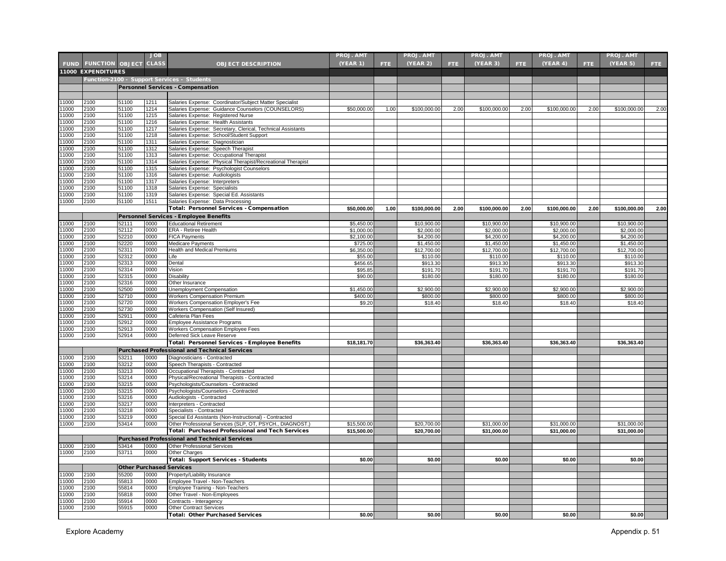|       |                                   |                                 | <b>JOB</b>   |                                                             | <b>PROJ. AMT</b>      |      | <b>PROJ. AMT</b> |      | <b>PROJ. AMT</b>        |      | <b>PROJ. AMT</b>        |      | <b>PROJ. AMT</b>        |      |
|-------|-----------------------------------|---------------------------------|--------------|-------------------------------------------------------------|-----------------------|------|------------------|------|-------------------------|------|-------------------------|------|-------------------------|------|
|       | <b>FUND FUNCTION OBJECT CLASS</b> |                                 |              | <b>OBJECT DESCRIPTION</b>                                   | (YEAR 1)              | FTE. | (YEAR 2)         | FTE. | (YEAR 3)                | FTE. | (YEAR 4)                | FTE. | (YEAR 5)                | FTE  |
|       | 11000 EXPENDITURES                |                                 |              |                                                             |                       |      |                  |      |                         |      |                         |      |                         |      |
|       |                                   |                                 |              |                                                             |                       |      |                  |      |                         |      |                         |      |                         |      |
|       |                                   |                                 |              | Function-2100 - Support Services - Students                 |                       |      |                  |      |                         |      |                         |      |                         |      |
|       |                                   |                                 |              | <b>Personnel Services - Compensation</b>                    |                       |      |                  |      |                         |      |                         |      |                         |      |
|       |                                   |                                 |              |                                                             |                       |      |                  |      |                         |      |                         |      |                         |      |
| 11000 | 2100                              | 51100                           | 1211         | Salaries Expense: Coordinator/Subject Matter Specialist     |                       |      |                  |      |                         |      |                         |      |                         |      |
| 11000 | 2100                              | 51100                           | 1214         | Salaries Expense: Guidance Counselors (COUNSELORS)          | \$50,000.00           | 1.00 | \$100,000.00     | 2.00 | \$100,000.00            | 2.00 | \$100,000.00            | 2.00 | \$100,000.00            | 2.00 |
| 11000 | 2100                              | 51100                           | 1215         | Salaries Expense: Registered Nurse                          |                       |      |                  |      |                         |      |                         |      |                         |      |
| 11000 | 2100                              | 51100                           | 1216         | Salaries Expense: Health Assistants                         |                       |      |                  |      |                         |      |                         |      |                         |      |
| 11000 | 2100                              | 51100                           | 1217         | Salaries Expense: Secretary, Clerical, Technical Assistants |                       |      |                  |      |                         |      |                         |      |                         |      |
| 11000 | 2100                              | 51100                           | 1218         | Salaries Expense: School/Student Support                    |                       |      |                  |      |                         |      |                         |      |                         |      |
| 11000 | 2100                              | 51100                           | 1311         | Salaries Expense: Diagnostician                             |                       |      |                  |      |                         |      |                         |      |                         |      |
| 11000 | 2100                              | 51100                           | 1312         | Salaries Expense: Speech Therapist                          |                       |      |                  |      |                         |      |                         |      |                         |      |
| 11000 | 2100                              | 51100                           | 1313         | Salaries Expense: Occupational Therapist                    |                       |      |                  |      |                         |      |                         |      |                         |      |
| 11000 | 2100                              | 51100                           | 1314         | Salaries Expense: Physical Therapist/Recreational Therapist |                       |      |                  |      |                         |      |                         |      |                         |      |
| 11000 | 2100                              | 51100                           | 1315         | Salaries Expense: Psychologist Counselors                   |                       |      |                  |      |                         |      |                         |      |                         |      |
| 11000 | 2100                              | 51100                           | 1316         | Salaries Expense: Audiologists                              |                       |      |                  |      |                         |      |                         |      |                         |      |
| 11000 | 2100                              | 51100                           | 1317         | Salaries Expense: Interpreters                              |                       |      |                  |      |                         |      |                         |      |                         |      |
| 11000 | 2100                              | 51100                           | 1318         | Salaries Expense: Specialists                               |                       |      |                  |      |                         |      |                         |      |                         |      |
| 11000 | 2100                              | 51100                           | 1319         | Salaries Expense: Special Ed. Assistants                    |                       |      |                  |      |                         |      |                         |      |                         |      |
| 11000 | 2100                              | 51100                           | 1511         | Salaries Expense: Data Processing                           |                       |      |                  |      |                         |      |                         |      |                         |      |
|       |                                   |                                 |              | Total: Personnel Services - Compensation                    | \$50,000.00           | 1.00 | \$100,000.00     | 2.00 | \$100,000.00            | 2.00 | \$100.000.00            | 2.00 | \$100.000.00            | 2.00 |
|       |                                   |                                 |              | <b>Personnel Services - Employee Benefits</b>               |                       |      |                  |      |                         |      |                         |      |                         |      |
| 11000 | 2100                              | 52111                           | 0000         | <b>Educational Retirement</b>                               | \$5,450.00            |      | \$10,900.00      |      | \$10,900.00             |      | \$10,900.00             |      | \$10,900.00             |      |
| 11000 | 2100                              | 52112                           | 0000         | ERA - Retiree Health                                        | \$1,000.00            |      | \$2,000.00       |      | \$2,000.00              |      | \$2,000.00              |      | \$2,000.00              |      |
| 11000 | 2100                              | 52210                           | 0000         | <b>FICA Payments</b>                                        | \$2,100.00            |      | \$4,200.00       |      | \$4,200.00              |      | \$4,200.00              |      | \$4,200.00              |      |
| 11000 | 2100                              | 52220                           | 0000         | <b>Medicare Payments</b>                                    | \$725.00              |      | \$1,450.00       |      | \$1,450.00              |      | \$1,450.00              |      | \$1,450.00              |      |
| 11000 | 2100                              | 52311                           | 0000         | <b>Health and Medical Premiums</b>                          |                       |      | \$12,700.00      |      |                         |      |                         |      |                         |      |
| 11000 | 2100                              | 52312                           | 0000         | Life                                                        | \$6,350.00<br>\$55.00 |      | \$110.00         |      | \$12,700.00<br>\$110.00 |      | \$12,700.00<br>\$110.00 |      | \$12,700.00<br>\$110.00 |      |
| 11000 | 2100                              | 52313                           | 0000         | Dental                                                      | \$456.65              |      | \$913.30         |      | \$913.30                |      | \$913.30                |      | \$913.30                |      |
| 11000 | 2100                              | 52314                           | 2000         |                                                             |                       |      | \$191.70         |      | \$191.70                |      | \$191.70                |      | \$191.70                |      |
| 11000 | 2100                              | 52315                           | 0000         | Vision<br>Disability                                        | \$95.85<br>\$90.00    |      |                  |      | \$180.00                |      | \$180.00                |      | \$180.00                |      |
| 11000 | 2100                              |                                 | 0000         | Other Insurance                                             |                       |      | \$180.00         |      |                         |      |                         |      |                         |      |
| 11000 | 2100                              | 52316<br>52500                  | 0000         | Unemployment Compensation                                   | \$1,450.00            |      | \$2.900.00       |      | \$2,900.0               |      | \$2.900.00              |      | \$2,900.00              |      |
| 11000 |                                   | 52710                           | 0000         |                                                             | \$400.00              |      | \$800.00         |      | \$800.00                |      | \$800.00                |      | \$800.00                |      |
| 11000 | 2100<br>2100                      | 52720                           | 0000         | Workers Compensation Premium                                | \$9.20                |      | \$18.40          |      | \$18.40                 |      | \$18.40                 |      | \$18.40                 |      |
| 11000 | 2100                              | 52730                           | 0000         | Workers Compensation Employer's Fee                         |                       |      |                  |      |                         |      |                         |      |                         |      |
| 11000 | 2100                              |                                 | 0000         | Workers Compensation (Self Insured)                         |                       |      |                  |      |                         |      |                         |      |                         |      |
| 11000 | 2100                              | 52911<br>52912                  |              | Cafeteria Plan Fees                                         |                       |      |                  |      |                         |      |                         |      |                         |      |
| 11000 |                                   |                                 | 0000<br>0000 | <b>Employee Assistance Programs</b>                         |                       |      |                  |      |                         |      |                         |      |                         |      |
|       | 2100                              | 52913                           |              | Workers Compensation Employee Fees                          |                       |      |                  |      |                         |      |                         |      |                         |      |
| 11000 | 2100                              | 52914                           | 0000         | Deferred Sick Leave Reserve                                 |                       |      |                  |      |                         |      |                         |      |                         |      |
|       |                                   |                                 |              | Total: Personnel Services - Employee Benefits               | \$18,181.70           |      | \$36,363.40      |      | \$36,363.40             |      | \$36.363.40             |      | \$36,363.40             |      |
|       |                                   |                                 |              | <b>Purchased Professional and Technical Services</b>        |                       |      |                  |      |                         |      |                         |      |                         |      |
| 11000 | 2100                              | 53211                           | 0000         | Diagnosticians - Contracted                                 |                       |      |                  |      |                         |      |                         |      |                         |      |
| 11000 | 2100                              | 53212                           | 0000         | Speech Therapists - Contracted                              |                       |      |                  |      |                         |      |                         |      |                         |      |
| 11000 | 2100                              | 53213                           | 0000         | Occupational Therapists - Contracted                        |                       |      |                  |      |                         |      |                         |      |                         |      |
| 11000 | 2100                              | 53214                           | 0000         | Physical/Recreational Therapists - Contracted               |                       |      |                  |      |                         |      |                         |      |                         |      |
| 11000 | 2100                              | 53215                           | 0000         | Psychologists/Counselors - Contracted                       |                       |      |                  |      |                         |      |                         |      |                         |      |
| 11000 | 2100                              | 53215                           | 0000         | Psychologists/Counselors - Contracted                       |                       |      |                  |      |                         |      |                         |      |                         |      |
| 11000 | 2100                              | 53216                           | 0000         | Audiologists - Contracted                                   |                       |      |                  |      |                         |      |                         |      |                         |      |
| 11000 | 2100                              | 53217                           | 0000         | Interpreters - Contracted                                   |                       |      |                  |      |                         |      |                         |      |                         |      |
| 11000 | 2100                              | 53218                           | 0000         | Specialists - Contracted                                    |                       |      |                  |      |                         |      |                         |      |                         |      |
| 11000 | 2100                              | 53219                           | 0000         | Special Ed Assistants (Non-Instructional) - Contracted      |                       |      |                  |      |                         |      |                         |      |                         |      |
| 11000 | 2100                              | 53414                           | 0000         | Other Professional Services (SLP, OT, PSYCH., DIAGNOST.)    | \$15,500.00           |      | \$20,700.00      |      | \$31,000.00             |      | \$31,000.00             |      | \$31,000.00             |      |
|       |                                   |                                 |              | <b>Total: Purchased Professional and Tech Services</b>      | \$15,500.00           |      | \$20,700.00      |      | \$31,000.00             |      | \$31,000.00             |      | \$31,000.00             |      |
|       |                                   |                                 |              | <b>Purchased Professional and Technical Services</b>        |                       |      |                  |      |                         |      |                         |      |                         |      |
| 11000 | 2100                              | 53414                           | 0000         | Other Professional Services                                 |                       |      |                  |      |                         |      |                         |      |                         |      |
| 11000 | 2100                              | 53711                           | 0000         | <b>Other Charges</b>                                        |                       |      |                  |      |                         |      |                         |      |                         |      |
|       |                                   |                                 |              | Total: Support Services - Students                          | \$0.00                |      | \$0.00           |      | \$0.00                  |      | \$0.00                  |      | \$0.00                  |      |
|       |                                   |                                 |              |                                                             |                       |      |                  |      |                         |      |                         |      |                         |      |
|       |                                   | <b>Other Purchased Services</b> |              |                                                             |                       |      |                  |      |                         |      |                         |      |                         |      |
| 11000 | 2100                              | 55200                           | 0000         | Property/Liability Insurance                                |                       |      |                  |      |                         |      |                         |      |                         |      |
| 11000 | 2100                              | 55813                           | 0000         | Employee Travel - Non-Teachers                              |                       |      |                  |      |                         |      |                         |      |                         |      |
| 11000 | 2100                              | 55814                           | 0000         | Employee Training - Non-Teachers                            |                       |      |                  |      |                         |      |                         |      |                         |      |
| 11000 | 2100                              | 55818                           | 0000         | Other Travel - Non-Employees                                |                       |      |                  |      |                         |      |                         |      |                         |      |
| 11000 | 2100                              | 55914                           | 0000         | Contracts - Interagency                                     |                       |      |                  |      |                         |      |                         |      |                         |      |
| 11000 | 2100                              | 55915                           | 0000         | <b>Other Contract Services</b>                              |                       |      |                  |      |                         |      |                         |      |                         |      |
|       |                                   |                                 |              | <b>Total: Other Purchased Services</b>                      | \$0.00                |      | \$0.00           |      | \$0.00                  |      | \$0.00                  |      | \$0.00                  |      |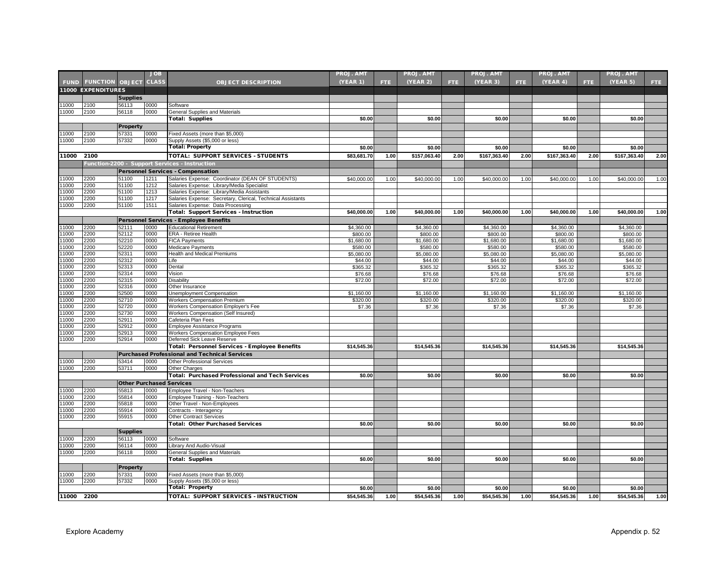|               |                             |                                 | <b>JOB</b>   |                                                                    | <b>PROJ. AMT</b> |      | <b>PROJ. AMT</b> |      | PROJ. AMT    |      | PROJ. AMT    |      | <b>PROJ. AMT</b> |      |
|---------------|-----------------------------|---------------------------------|--------------|--------------------------------------------------------------------|------------------|------|------------------|------|--------------|------|--------------|------|------------------|------|
|               | <b>FUND FUNCTION OBJECT</b> |                                 | <b>CLASS</b> | <b>OBJECT DESCRIPTION</b>                                          | (YEAR 1)         | FTE. | (YEAR 2)         | FTE. | (YEAR 3)     | FTE. | (YEAR 4)     | FTE. | (YEAR 5)         | FTE. |
|               | 11000 EXPENDITURES          |                                 |              |                                                                    |                  |      |                  |      |              |      |              |      |                  |      |
|               |                             | <b>Supplies</b>                 |              |                                                                    |                  |      |                  |      |              |      |              |      |                  |      |
| 1000          | 2100                        | 56113                           | 0000         | Software                                                           |                  |      |                  |      |              |      |              |      |                  |      |
| 11000         | 2100                        | 56118                           | 0000         | General Supplies and Materials                                     |                  |      |                  |      |              |      |              |      |                  |      |
|               |                             |                                 |              | <b>Total: Supplies</b>                                             | \$0.00           |      | \$0.00           |      | \$0.00       |      | \$0.00       |      | \$0.00           |      |
|               |                             | <b>Property</b>                 |              |                                                                    |                  |      |                  |      |              |      |              |      |                  |      |
| 1000          | 2100                        | 57331                           | 0000         | Fixed Assets (more than \$5,000)                                   |                  |      |                  |      |              |      |              |      |                  |      |
| 11000         | 2100                        | 57332                           | 0000         | Supply Assets (\$5,000 or less)                                    |                  |      |                  |      |              |      |              |      |                  |      |
|               |                             |                                 |              | <b>Total: Property</b>                                             | \$0.00           |      | \$0.00           |      | \$0.00       |      | \$0.00       |      | \$0.00           |      |
| 11000         | 2100                        |                                 |              | <b>TOTAL: SUPPORT SERVICES - STUDENTS</b>                          | \$83,681.70      | 1.00 | \$157,063.40     | 2.00 | \$167,363.40 | 2.00 | \$167,363.40 | 2.00 | \$167,363.40     | 2.00 |
|               |                             |                                 |              | Function-2200 - Support Services - Instruction                     |                  |      |                  |      |              |      |              |      |                  |      |
|               |                             |                                 |              | <b>Personnel Services - Compensation</b>                           |                  |      |                  |      |              |      |              |      |                  |      |
| 1000          | 2200                        | 51100                           | 1211         | Salaries Expense: Coordinator (DEAN OF STUDENTS)                   | \$40,000.00      | 1.00 | \$40,000.00      | 1.00 | \$40,000.00  | 1.00 | \$40,000.00  | 1.00 | \$40,000.00      | 1.00 |
| 11000         | 2200                        | 51100                           | 1212         | Salaries Expense: Library/Media Specialist                         |                  |      |                  |      |              |      |              |      |                  |      |
| 11000         | 2200                        | 51100                           | 1213         | Salaries Expense: Library/Media Assistants                         |                  |      |                  |      |              |      |              |      |                  |      |
| 1000          | 2200                        | 51100                           | 1217         | Salaries Expense: Secretary, Clerical, Technical Assistants        |                  |      |                  |      |              |      |              |      |                  |      |
| 11000         | 2200                        | 51100                           | 1511         | Salaries Expense: Data Processing                                  |                  |      |                  |      |              |      |              |      |                  |      |
|               |                             |                                 |              | <b>Total: Support Services - Instruction</b>                       | \$40,000.00      | 1.00 | \$40,000.00      | 1.00 | \$40,000.00  | 1.00 | \$40,000.00  | 1.00 | \$40,000.00      | 1.00 |
|               |                             |                                 |              | Personnel Services - Employee Benefits                             |                  |      |                  |      |              |      |              |      |                  |      |
| 1000          | 2200                        | 52111                           | 0000         | <b>Educational Retirement</b>                                      | \$4,360.00       |      | \$4,360.00       |      | \$4,360.00   |      | \$4,360.00   |      | \$4,360.00       |      |
| 11000         | 2200                        | 52112                           | 0000         | ERA - Retiree Health                                               | \$800.00         |      | \$800.00         |      | \$800.00     |      | \$800.00     |      | \$800.00         |      |
| 11000         | 2200                        | 52210                           | 0000         | <b>FICA Payments</b>                                               | \$1,680.00       |      | \$1,680.00       |      | \$1,680.00   |      | \$1,680.00   |      | \$1,680.00       |      |
| 11000         | 2200                        | 52220                           | 0000         | <b>Medicare Payments</b>                                           | \$580.00         |      | \$580.00         |      | \$580.00     |      | \$580.00     |      | \$580.00         |      |
| 11000         | 2200                        | 52311                           | 0000         | Health and Medical Premiums                                        | \$5,080.00       |      | \$5,080.00       |      | \$5,080.00   |      | \$5,080.00   |      | \$5,080.00       |      |
| 11000         | 2200                        | 52312                           | 0000         | Life                                                               | \$44.00          |      | \$44.00          |      | \$44.00      |      | \$44.00      |      | \$44.00          |      |
| 11000         | 2200                        | 52313                           | 0000         | Dental                                                             | \$365.32         |      | \$365.32         |      | \$365.32     |      | \$365.32     |      | \$365.32         |      |
| 1000          | 2200                        | 52314                           | 0000         | Vision                                                             | \$76.68          |      | \$76.68          |      | \$76.68      |      | \$76.68      |      | \$76.68          |      |
| 11000         | 2200                        | 52315                           | 0000         | Disability                                                         | \$72.00          |      | \$72.00          |      | \$72.00      |      | \$72.00      |      | \$72.00          |      |
| 11000         | 2200                        | 52316                           | 0000         | Other Insurance                                                    |                  |      |                  |      |              |      |              |      |                  |      |
| 11000         | 2200                        | 52500                           | 0000         | Unemployment Compensation                                          | \$1,160.00       |      | \$1,160.00       |      | \$1.160.00   |      | \$1,160.00   |      | \$1,160.00       |      |
| 11000         | 2200                        | 52710                           | 0000         | <b>Workers Compensation Premium</b>                                | \$320.00         |      | \$320.00         |      | \$320.00     |      | \$320.00     |      | \$320.00         |      |
| 11000         | 2200                        | 52720                           | 0000         | Workers Compensation Employer's Fee                                | \$7.36           |      | \$7.36           |      | \$7.36       |      | \$7.36       |      | \$7.36           |      |
| 11000<br>1000 | 2200<br>2200                | 52730                           | 0000<br>0000 | <b>Workers Compensation (Self Insured)</b>                         |                  |      |                  |      |              |      |              |      |                  |      |
| 1000          | 2200                        | 52911<br>52912                  | 0000         | Cafeteria Plan Fees                                                |                  |      |                  |      |              |      |              |      |                  |      |
| 1000          | 2200                        | 52913                           | 0000         | Employee Assistance Programs<br>Workers Compensation Employee Fees |                  |      |                  |      |              |      |              |      |                  |      |
| 11000         | 2200                        | 52914                           | 0000         | Deferred Sick Leave Reserve                                        |                  |      |                  |      |              |      |              |      |                  |      |
|               |                             |                                 |              | Total: Personnel Services - Employee Benefits                      | \$14,545.36      |      | \$14,545.36      |      | \$14,545.36  |      | \$14,545.36  |      | \$14,545.36      |      |
|               |                             |                                 |              | <b>Purchased Professional and Technical Services</b>               |                  |      |                  |      |              |      |              |      |                  |      |
| 1000          | 2200                        | 53414                           | 0000         | <b>Other Professional Services</b>                                 |                  |      |                  |      |              |      |              |      |                  |      |
| 11000         | 2200                        | 53711                           | 0000         | Other Charges                                                      |                  |      |                  |      |              |      |              |      |                  |      |
|               |                             |                                 |              | <b>Total: Purchased Professional and Tech Services</b>             | \$0.00           |      | \$0.00           |      | \$0.00       |      | \$0.00       |      | \$0.00           |      |
|               |                             | <b>Other Purchased Services</b> |              |                                                                    |                  |      |                  |      |              |      |              |      |                  |      |
| 1000          | 2200                        | 55813                           | 0000         | Employee Travel - Non-Teachers                                     |                  |      |                  |      |              |      |              |      |                  |      |
| 1000          | 2200                        | 55814                           | 0000         | Employee Training - Non-Teachers                                   |                  |      |                  |      |              |      |              |      |                  |      |
| 1000          | 2200                        | 55818                           | 0000         | Other Travel - Non-Employees                                       |                  |      |                  |      |              |      |              |      |                  |      |
| 11000         | 2200                        | 55914                           | 0000         | Contracts - Interagency                                            |                  |      |                  |      |              |      |              |      |                  |      |
| 11000         | 2200                        | 55915                           | 0000         | <b>Other Contract Services</b>                                     |                  |      |                  |      |              |      |              |      |                  |      |
|               |                             |                                 |              | <b>Total: Other Purchased Services</b>                             | \$0.00           |      | \$0.00           |      | \$0.00       |      | \$0.00       |      | \$0.00           |      |
|               |                             | <b>Supplies</b>                 |              |                                                                    |                  |      |                  |      |              |      |              |      |                  |      |
| 1000          | 2200                        | 56113                           | 0000         | Software                                                           |                  |      |                  |      |              |      |              |      |                  |      |
| 11000         | 2200                        | 56114                           | 0000         | Library And Audio-Visual                                           |                  |      |                  |      |              |      |              |      |                  |      |
| 1000          | 2200                        | 56118                           | 0000         | General Supplies and Materials                                     |                  |      |                  |      |              |      |              |      |                  |      |
|               |                             |                                 |              | <b>Total: Supplies</b>                                             | \$0.00           |      | \$0.00           |      | \$0.00       |      | \$0.00       |      | \$0.00           |      |
|               |                             | <b>Property</b>                 |              |                                                                    |                  |      |                  |      |              |      |              |      |                  |      |
| 11000         | 2200                        | 57331                           | 0000         | Fixed Assets (more than \$5,000)                                   |                  |      |                  |      |              |      |              |      |                  |      |
| 11000         | 2200                        | 57332                           | 0000         | Supply Assets (\$5,000 or less)                                    |                  |      |                  |      |              |      |              |      |                  |      |
|               |                             |                                 |              | <b>Total: Property</b>                                             | \$0.00           |      | \$0.00           |      | \$0.00       |      | \$0.00       |      | \$0.00           |      |
|               |                             |                                 |              |                                                                    |                  |      |                  |      |              |      |              |      |                  |      |
| 11000 2200    |                             |                                 |              | <b>TOTAL: SUPPORT SERVICES - INSTRUCTION</b>                       | \$54,545.36      | 1.00 | \$54,545.36      | 1.00 | \$54,545.36  | 1.00 | \$54.545.36  | 1.00 | \$54.545.36      | 1.00 |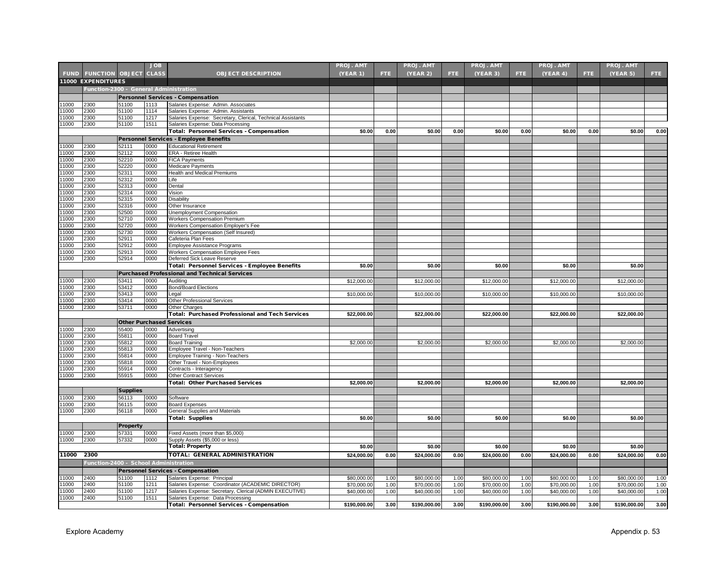|                |                                        |                                 | <b>JOB</b>   |                                                                                                    | <b>PROJ. AMT</b> |      | <b>PROJ. AMT</b> |      | <b>PROJ. AMT</b> |            | <b>PROJ. AMT</b> |      | <b>PROJ. AMT</b> |      |
|----------------|----------------------------------------|---------------------------------|--------------|----------------------------------------------------------------------------------------------------|------------------|------|------------------|------|------------------|------------|------------------|------|------------------|------|
|                | <b>FUND FUNCTION OBJECT</b>            |                                 | <b>CLASS</b> | <b>OBJECT DESCRIPTION</b>                                                                          | (YEAR 1)         | FTE. | (YEAR 2)         | FTE. | (YEAR 3)         | <b>FTE</b> | (YEAR 4)         | FTE. | (YEAR 5)         | FTE. |
|                | 11000 EXPENDITURES                     |                                 |              |                                                                                                    |                  |      |                  |      |                  |            |                  |      |                  |      |
|                |                                        |                                 |              |                                                                                                    |                  |      |                  |      |                  |            |                  |      |                  |      |
|                | Function-2300 - General Administration |                                 |              |                                                                                                    |                  |      |                  |      |                  |            |                  |      |                  |      |
|                |                                        |                                 |              | <b>Personnel Services - Compensation</b>                                                           |                  |      |                  |      |                  |            |                  |      |                  |      |
| 11000<br>11000 | 2300                                   | 51100<br>51100                  | 1113         | Salaries Expense: Admin. Associates                                                                |                  |      |                  |      |                  |            |                  |      |                  |      |
| 11000          | 2300<br>2300                           | 51100                           | 1114<br>1217 | Salaries Expense: Admin. Assistants<br>Salaries Expense: Secretary, Clerical, Technical Assistants |                  |      |                  |      |                  |            |                  |      |                  |      |
| 11000          | 2300                                   | 51100                           | 1511         | Salaries Expense: Data Processing                                                                  |                  |      |                  |      |                  |            |                  |      |                  |      |
|                |                                        |                                 |              | Total: Personnel Services - Compensation                                                           | \$0.00           | 0.00 | \$0.00           | 0.00 | \$0.00           | 0.00       | \$0.00           | 0.00 | \$0.00           | 0.00 |
|                |                                        |                                 |              | <b>Personnel Services - Employee Benefits</b>                                                      |                  |      |                  |      |                  |            |                  |      |                  |      |
| 11000          | 2300                                   | 52111                           | 0000         | <b>Educational Retirement</b>                                                                      |                  |      |                  |      |                  |            |                  |      |                  |      |
| 11000          | 2300                                   | 52112                           | 0000         | ERA - Retiree Health                                                                               |                  |      |                  |      |                  |            |                  |      |                  |      |
| 11000          | 2300                                   | 52210                           | 0000         | <b>FICA Payments</b>                                                                               |                  |      |                  |      |                  |            |                  |      |                  |      |
| 11000          | 2300                                   | 52220                           | 0000         | Medicare Payments                                                                                  |                  |      |                  |      |                  |            |                  |      |                  |      |
| 11000          | 2300                                   | 52311                           | 0000         | <b>Health and Medical Premiums</b>                                                                 |                  |      |                  |      |                  |            |                  |      |                  |      |
| 11000          | 2300                                   | 52312                           | 0000         | Life                                                                                               |                  |      |                  |      |                  |            |                  |      |                  |      |
| 11000          | 2300                                   | 52313                           | 0000         | Dental                                                                                             |                  |      |                  |      |                  |            |                  |      |                  |      |
| 11000          | 2300                                   | 52314                           | 0000         | Vision                                                                                             |                  |      |                  |      |                  |            |                  |      |                  |      |
| 11000          | 2300                                   | 52315                           | 0000         | Disability                                                                                         |                  |      |                  |      |                  |            |                  |      |                  |      |
| 11000          | 2300                                   | 52316                           | 0000         | Other Insurance                                                                                    |                  |      |                  |      |                  |            |                  |      |                  |      |
| 11000          | 2300                                   | 52500                           | 0000         | Unemployment Compensation                                                                          |                  |      |                  |      |                  |            |                  |      |                  |      |
| 11000          | 2300                                   | 52710                           | 0000         | <b>Workers Compensation Premium</b>                                                                |                  |      |                  |      |                  |            |                  |      |                  |      |
| 11000          | 2300                                   | 52720                           | 0000         | Workers Compensation Employer's Fee                                                                |                  |      |                  |      |                  |            |                  |      |                  |      |
| 11000<br>11000 | 2300<br>2300                           | 52730<br>52911                  | 0000<br>0000 | Workers Compensation (Self Insured)<br>Cafeteria Plan Fees                                         |                  |      |                  |      |                  |            |                  |      |                  |      |
| 11000          | 2300                                   | 52912                           | 0000         | Employee Assistance Programs                                                                       |                  |      |                  |      |                  |            |                  |      |                  |      |
| 11000          | 2300                                   | 52913                           | 0000         | Workers Compensation Employee Fees                                                                 |                  |      |                  |      |                  |            |                  |      |                  |      |
| 11000          | 2300                                   | 52914                           | 0000         | Deferred Sick Leave Reserve                                                                        |                  |      |                  |      |                  |            |                  |      |                  |      |
|                |                                        |                                 |              | Total: Personnel Services - Employee Benefits                                                      | \$0.00           |      | \$0.00           |      | \$0.00           |            | \$0.00           |      | \$0.00           |      |
|                |                                        |                                 |              | <b>Purchased Professional and Technical Services</b>                                               |                  |      |                  |      |                  |            |                  |      |                  |      |
| 11000          | 2300                                   | 53411                           | 0000         | Auditing                                                                                           | \$12,000.00      |      | \$12,000.00      |      | \$12,000.00      |            | \$12,000.00      |      | \$12,000.00      |      |
| 11000          | 2300                                   | 53412                           | 0000         | <b>Bond/Board Elections</b>                                                                        |                  |      |                  |      |                  |            |                  |      |                  |      |
| 11000          | 2300                                   | 53413                           | 0000         | Legal                                                                                              | \$10,000.00      |      | \$10,000.00      |      | \$10,000.00      |            | \$10,000.00      |      | \$10,000.00      |      |
| 1000           | 2300                                   | 53414                           | 0000         | Other Professional Services                                                                        |                  |      |                  |      |                  |            |                  |      |                  |      |
| 11000          | 2300                                   | 53711                           | 0000         | Other Charges                                                                                      |                  |      |                  |      |                  |            |                  |      |                  |      |
|                |                                        |                                 |              | <b>Total: Purchased Professional and Tech Services</b>                                             | \$22,000.00      |      | \$22,000.00      |      | \$22,000.00      |            | \$22,000.00      |      | \$22,000.00      |      |
|                |                                        | <b>Other Purchased Services</b> |              |                                                                                                    |                  |      |                  |      |                  |            |                  |      |                  |      |
| 11000          | 2300                                   | 55400                           | 0000         | Advertising                                                                                        |                  |      |                  |      |                  |            |                  |      |                  |      |
| 11000          | 2300                                   | 55811                           | 0000         | <b>Board Travel</b>                                                                                |                  |      |                  |      |                  |            |                  |      |                  |      |
| 11000          | 2300                                   | 55812                           | 0000         | <b>Board Training</b>                                                                              | \$2,000.00       |      | \$2,000.00       |      | \$2,000.00       |            | \$2,000.00       |      | \$2,000.00       |      |
| 11000          | 2300                                   | 55813                           | 0000         | Employee Travel - Non-Teachers                                                                     |                  |      |                  |      |                  |            |                  |      |                  |      |
| 11000          | 2300                                   | 55814                           | 0000         | Employee Training - Non-Teachers                                                                   |                  |      |                  |      |                  |            |                  |      |                  |      |
| 11000          | 2300                                   | 55818                           | 0000         | Other Travel - Non-Employees                                                                       |                  |      |                  |      |                  |            |                  |      |                  |      |
| 1000           | 2300                                   | 55914                           | 0000         | Contracts - Interagency                                                                            |                  |      |                  |      |                  |            |                  |      |                  |      |
| 11000          | 2300                                   | 55915                           | 0000         | Other Contract Services                                                                            |                  |      |                  |      |                  |            |                  |      |                  |      |
|                |                                        |                                 |              | <b>Total: Other Purchased Services</b>                                                             | \$2,000.00       |      | \$2,000.00       |      | \$2,000.00       |            | \$2,000.00       |      | \$2,000.00       |      |
|                |                                        | <b>Supplies</b>                 |              |                                                                                                    |                  |      |                  |      |                  |            |                  |      |                  |      |
| 11000          | 2300                                   | 56113                           | 0000         | Software                                                                                           |                  |      |                  |      |                  |            |                  |      |                  |      |
| 11000          | 2300                                   | 56115                           | 0000         | <b>Board Expenses</b>                                                                              |                  |      |                  |      |                  |            |                  |      |                  |      |
| 11000          | 2300                                   | 56118                           | 0000         | General Supplies and Materials                                                                     |                  |      |                  |      |                  |            |                  |      |                  |      |
|                |                                        |                                 |              | <b>Total: Supplies</b>                                                                             | \$0.00           |      | \$0.00           |      | \$0.00           |            | \$0.00           |      | \$0.00           |      |
|                |                                        | <b>Property</b>                 |              |                                                                                                    |                  |      |                  |      |                  |            |                  |      |                  |      |
| 11000          | 2300                                   | 57331                           | 0000         | Fixed Assets (more than \$5,000)                                                                   |                  |      |                  |      |                  |            |                  |      |                  |      |
| 11000          | 2300                                   | 57332                           | 0000         | Supply Assets (\$5,000 or less)                                                                    |                  |      |                  |      |                  |            |                  |      |                  |      |
|                |                                        |                                 |              | Total: Property                                                                                    | \$0.00           |      | \$0.00           |      | \$0.00           |            | \$0.00           |      | \$0.00           |      |
| 11000          | 2300                                   |                                 |              | <b>TOTAL: GENERAL ADMINISTRATION</b>                                                               | \$24,000.00      | 0.00 | \$24,000.00      | 0.00 | \$24,000.00      | 0.00       | \$24,000.00      | 0.00 | \$24,000.00      | 0.00 |
|                | Function-2400 - School Administration  |                                 |              |                                                                                                    |                  |      |                  |      |                  |            |                  |      |                  |      |
|                |                                        |                                 |              | Personnel Services - Compensation                                                                  |                  |      |                  |      |                  |            |                  |      |                  |      |
| 11000          | 2400                                   | 51100                           | 1112         | Salaries Expense: Principal                                                                        | \$80,000.00      | 1.00 | \$80,000.00      | 1.00 | \$80,000.00      | 1.00       | \$80,000,00      | 1.00 | \$80,000.00      | 1.00 |
| 11000          | 2400                                   | 51100                           | 1211         | Salaries Expense: Coordinator (ACADEMIC DIRECTOR)                                                  | \$70,000.00      | 1.00 | \$70,000.00      | 1.00 | \$70,000.00      | 1.00       | \$70,000.00      | 1.00 | \$70,000.00      | 1.00 |
| 11000          | 2400                                   | 51100                           | 1217         | Salaries Expense: Secretary, Clerical (ADMIN EXECUTIVE)                                            | \$40,000.00      | 1.00 | \$40,000.00      | 1.00 | \$40,000.00      | 1.00       | \$40,000.00      | 1.00 | \$40,000.00      | 1.00 |
| 11000          | 2400                                   | 51100                           | 1511         | Salaries Expense: Data Processing                                                                  |                  |      |                  |      |                  |            |                  |      |                  |      |
|                |                                        |                                 |              | Total: Personnel Services - Compensation                                                           | \$190,000.00     | 3.00 | \$190,000.00     | 3.00 | \$190,000.00     | 3.00       | \$190,000.00     | 3.00 | \$190,000.00     | 3.00 |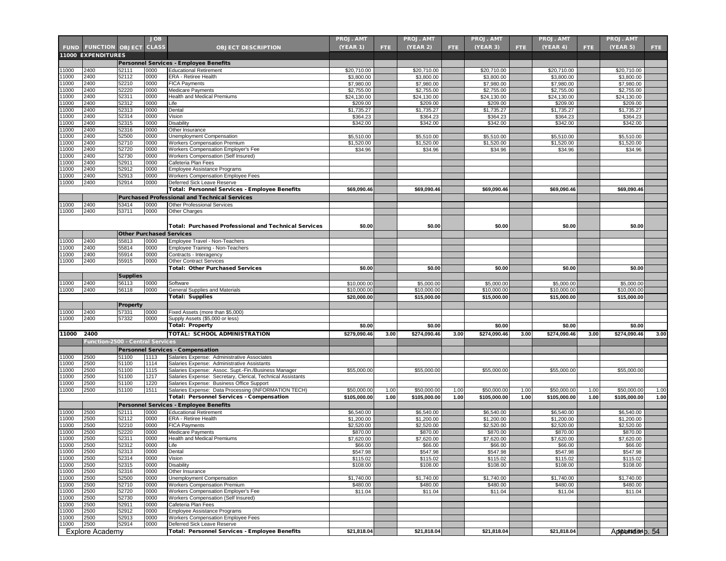|                |                                  |                          | <b>JOB</b>   |                                                                            | <b>PROJ. AMT</b>         |      | <b>PROJ. AMT</b>         |      | <b>PROJ. AMT</b>         |      | <b>PROJ. AMT</b>         |      | <b>PROJ. AMT</b>            |      |
|----------------|----------------------------------|--------------------------|--------------|----------------------------------------------------------------------------|--------------------------|------|--------------------------|------|--------------------------|------|--------------------------|------|-----------------------------|------|
| <b>FUND</b>    | <b>FUNCTION OBJECT</b>           |                          | <b>CLASS</b> | <b>OBJECT DESCRIPTION</b>                                                  | (YEAR 1)                 | FTE. | <b>(YEAR 2)</b>          | FTE. | (YEAR 3)                 | FTE. | (YEAR 4)                 | FTE. | (YEAR 5)                    | FTE. |
|                | <b>11000 EXPENDITURES</b>        |                          |              |                                                                            |                          |      |                          |      |                          |      |                          |      |                             |      |
|                |                                  |                          |              | Personnel Services - Employee Benefits                                     |                          |      |                          |      |                          |      |                          |      |                             |      |
| 1000           | 2400                             | 52111                    | 0000         | <b>Educational Retirement</b>                                              | \$20,710.00              |      | \$20,710.00              |      | \$20,710.00              |      | \$20,710.00              |      | \$20,710.00                 |      |
| 1000           | 2400                             | 52112                    | 0000         | ERA - Retiree Health                                                       | \$3,800.00               |      | \$3,800.00               |      | \$3,800.00               |      | \$3,800.00               |      | \$3,800.00                  |      |
| 1000           | 2400                             | 52210                    | 0000         | <b>FICA Payments</b>                                                       | \$7,980.00               |      | \$7,980.00               |      | \$7,980.00               |      | \$7,980.00               |      | \$7,980.00                  |      |
| 1000           | 2400<br>2400                     | 52220                    | 0000<br>0000 | Medicare Payments                                                          | \$2,755.00               |      | \$2,755.00               |      | \$2,755.00               |      | \$2,755.00               |      | \$2,755.00                  |      |
| 11000<br>11000 | 2400                             | 52311<br>52312           | 0000         | Health and Medical Premiums<br>Life                                        | \$24,130.00<br>\$209.00  |      | \$24,130.00<br>\$209.00  |      | \$24,130.00<br>\$209.00  |      | \$24,130.00<br>\$209.00  |      | \$24,130.00<br>\$209.00     |      |
| 1000           | 2400                             | 52313                    | 0000         | Dental                                                                     | \$1,735.27               |      | \$1,735.27               |      | \$1,735.27               |      | \$1,735.27               |      | \$1,735.27                  |      |
| 1000           | 2400                             | 52314                    | 0000         | Vision                                                                     | \$364.23                 |      | \$364.23                 |      | \$364.23                 |      | \$364.23                 |      | \$364.23                    |      |
| 11000          | 2400                             | 52315                    | 0000         | Disability                                                                 | \$342.00                 |      | \$342.00                 |      | \$342.00                 |      | \$342.00                 |      | \$342.00                    |      |
| 11000          | 2400                             | 52316                    | 0000         | Other Insurance                                                            |                          |      |                          |      |                          |      |                          |      |                             |      |
| 11000          | 2400                             | 52500                    | 0000         | Unemployment Compensation                                                  | \$5,510.00               |      | \$5,510.00               |      | \$5,510.00               |      | \$5,510.00               |      | \$5,510.00                  |      |
| 1000           | 2400                             | 52710                    | 0000         | Workers Compensation Premium                                               | \$1,520.00               |      | \$1,520.00               |      | \$1,520.00               |      | \$1,520.00               |      | \$1,520.00                  |      |
| 1000<br>1000   | 2400<br>2400                     | 52720<br>52730           | 0000<br>0000 | Workers Compensation Employer's Fee<br>Workers Compensation (Self Insured) | \$34.96                  |      | \$34.96                  |      | \$34.96                  |      | \$34.96                  |      | \$34.96                     |      |
| 11000          | 2400                             | 52911                    | 0000         | Cafeteria Plan Fees                                                        |                          |      |                          |      |                          |      |                          |      |                             |      |
| 1000           | 2400                             | 52912                    | 0000         | Employee Assistance Programs                                               |                          |      |                          |      |                          |      |                          |      |                             |      |
| 1000           | 2400                             | 52913                    | 0000         | Workers Compensation Employee Fees                                         |                          |      |                          |      |                          |      |                          |      |                             |      |
| 1000           | 2400                             | 52914                    | 0000         | Deferred Sick Leave Reserve                                                |                          |      |                          |      |                          |      |                          |      |                             |      |
|                |                                  |                          |              | Total: Personnel Services - Employee Benefits                              | \$69,090.46              |      | \$69,090.46              |      | \$69,090.46              |      | \$69,090.46              |      | \$69,090.46                 |      |
|                |                                  |                          |              | <b>Purchased Professional and Technical Services</b>                       |                          |      |                          |      |                          |      |                          |      |                             |      |
| 1000           | 2400                             | 53414                    | 0000         | Other Professional Services                                                |                          |      |                          |      |                          |      |                          |      |                             |      |
| 1000           | 2400                             | 53711                    | 0000         | Other Charges                                                              |                          |      |                          |      |                          |      |                          |      |                             |      |
|                |                                  |                          |              |                                                                            |                          |      |                          |      |                          |      |                          |      |                             |      |
|                |                                  |                          |              | <b>Total: Purchased Professional and Technical Services</b>                | \$0.00                   |      | \$0.00                   |      | \$0.00                   |      | \$0.00                   |      | \$0.00                      |      |
|                |                                  |                          |              | <b>Other Purchased Services</b>                                            |                          |      |                          |      |                          |      |                          |      |                             |      |
| 11000          | 2400                             | 55813                    | 0000         | Employee Travel - Non-Teachers                                             |                          |      |                          |      |                          |      |                          |      |                             |      |
| 1000           | 2400                             | 55814                    | 0000         | Employee Training - Non-Teachers                                           |                          |      |                          |      |                          |      |                          |      |                             |      |
| 1000           | 2400                             | 55914                    | 0000         | Contracts - Interagency                                                    |                          |      |                          |      |                          |      |                          |      |                             |      |
| 1000           | 2400                             | 55915                    | 0000         | <b>Other Contract Services</b><br><b>Total: Other Purchased Services</b>   | \$0.00                   |      | \$0.00                   |      | \$0.00                   |      | \$0.00                   |      | \$0.00                      |      |
|                |                                  |                          |              |                                                                            |                          |      |                          |      |                          |      |                          |      |                             |      |
| 1000           | 2400                             | <b>Supplies</b><br>56113 | 0000         | Software                                                                   | \$10,000,00              |      | \$5,000.00               |      | \$5,000.00               |      | \$5,000.00               |      | \$5,000.00                  |      |
| 11000          | 2400                             | 56118                    | 0000         | <b>General Supplies and Materials</b>                                      | \$10,000.00              |      | \$10,000.00              |      | \$10,000.00              |      | \$10,000.00              |      | \$10,000.00                 |      |
|                |                                  |                          |              | Total: Supplies                                                            | \$20,000.00              |      | \$15,000.00              |      | \$15,000.00              |      | \$15,000.00              |      | \$15,000.00                 |      |
|                |                                  | <b>Property</b>          |              |                                                                            |                          |      |                          |      |                          |      |                          |      |                             |      |
| 1000           | 2400                             | 57331                    | 0000         | Fixed Assets (more than \$5,000)                                           |                          |      |                          |      |                          |      |                          |      |                             |      |
| 1000           | 2400                             | 57332                    | 0000         | Supply Assets (\$5,000 or less)                                            |                          |      |                          |      |                          |      |                          |      |                             |      |
|                |                                  |                          |              | <b>Total: Property</b>                                                     | \$0.00                   |      | \$0.00                   |      | \$0.00                   |      | \$0.00                   |      | \$0.00                      |      |
| 11000          | 2400                             |                          |              | TOTAL: SCHOOL ADMINISTRATION                                               | \$279,090.46             | 3.00 | \$274,090.46             | 3.00 | \$274,090.46             | 3.00 | \$274,090.46             | 3.00 | \$274,090.46                | 3.00 |
|                | Function-2500 - Central Services |                          |              |                                                                            |                          |      |                          |      |                          |      |                          |      |                             |      |
|                |                                  |                          |              | <b>Personnel Services - Compensation</b>                                   |                          |      |                          |      |                          |      |                          |      |                             |      |
| 1000           | 2500                             | 51100                    | 1113         | Salaries Expense: Administrative Associates                                |                          |      |                          |      |                          |      |                          |      |                             |      |
| 11000          | 2500                             | 51100                    | 1114         | Salaries Expense: Administrative Assistants                                |                          |      |                          |      |                          |      |                          |      |                             |      |
| 1000           | 2500                             | 51100                    | 1115         | Salaries Expense: Assoc. Supt.-Fin./Business Manager                       | \$55,000.00              |      | \$55,000.00              |      | \$55,000.00              |      | \$55,000.00              |      | \$55,000.00                 |      |
| 1000           | 2500                             | 51100                    | 1217         | Salaries Expense: Secretary, Clerical, Technical Assistants                |                          |      |                          |      |                          |      |                          |      |                             |      |
| 1000           | 2500                             | 51100                    | 1220         | Salaries Expense: Business Office Support                                  |                          |      |                          |      |                          |      |                          |      |                             |      |
| 1000           | 2500                             | 51100                    | 1511         | Salaries Expense: Data Processing (INFORMATION TECH)                       | \$50,000.00              | 1.00 | \$50,000.00              | 1.00 | \$50,000.00              | 1.00 | \$50,000.00              | 1.00 | \$50,000.00                 | 1.00 |
|                |                                  |                          |              | Total: Personnel Services - Compensation                                   | \$105,000.00             | 1.00 | \$105,000.00             | 1.00 | \$105,000.00             | 1.00 | \$105,000.00             | 1.00 | \$105,000.00                | 1.00 |
|                |                                  |                          | 0000         | Personnel Services - Employee Benefits                                     |                          |      |                          |      |                          |      |                          |      |                             |      |
| 1000<br>1000   | 2500<br>2500                     | 52111<br>52112           | 0000         | <b>Educational Retirement</b><br>ERA - Retiree Health                      | \$6,540.00<br>\$1,200.00 |      | \$6,540.00<br>\$1,200.00 |      | \$6,540.00<br>\$1,200.00 |      | \$6,540.00<br>\$1,200.00 |      | \$6,540.00<br>\$1,200.00    |      |
| 1000           | 2500                             | 52210                    | 0000         | <b>FICA Payments</b>                                                       | \$2,520.00               |      | \$2,520.00               |      | \$2,520.00               |      | \$2,520.00               |      | \$2,520.00                  |      |
| 11000          | 2500                             | 52220                    | 0000         | Medicare Payments                                                          | \$870.00                 |      | \$870.00                 |      | \$870.00                 |      | \$870.00                 |      | \$870.00                    |      |
| 11000          | 2500                             | 52311                    | 0000         | <b>Health and Medical Premiums</b>                                         | \$7,620.00               |      | \$7,620.00               |      | \$7,620.00               |      | \$7,620.00               |      | \$7,620.00                  |      |
| 11000          | 2500                             | 52312                    | 0000         | Life                                                                       | \$66.00                  |      | \$66.00                  |      | \$66.00                  |      | \$66.00                  |      | \$66.00                     |      |
| 11000          | 2500                             | 52313                    | 0000         | Dental                                                                     | \$547.98                 |      | \$547.98                 |      | \$547.98                 |      | \$547.98                 |      | \$547.98                    |      |
| 11000          | 2500                             | 52314                    | 0000         | Vision                                                                     | \$115.02                 |      | \$115.02                 |      | \$115.02                 |      | \$115.02                 |      | \$115.02                    |      |
| 11000          | 2500                             | 52315                    | 0000         | <b>Disability</b>                                                          | \$108.00                 |      | \$108.00                 |      | \$108.00                 |      | \$108.00                 |      | \$108.00                    |      |
| 11000          | 2500                             | 52316                    | 0000         | Other Insurance                                                            |                          |      |                          |      |                          |      |                          |      |                             |      |
| 11000<br>1000  | 2500<br>2500                     | 52500<br>52710           | 0000<br>0000 | Unemployment Compensation<br>Workers Compensation Premium                  | \$1,740.00<br>\$480.00   |      | \$1,740.00<br>\$480.00   |      | \$1,740.00<br>\$480.00   |      | \$1,740.00<br>\$480.00   |      | \$1,740.00<br>\$480.00      |      |
| 11000          | 2500                             | 52720                    | 0000         | Workers Compensation Employer's Fee                                        | \$11.04                  |      | \$11.04                  |      | \$11.04                  |      | \$11.04                  |      | \$11.04                     |      |
| 11000          | 2500                             | 52730                    | 0000         | Workers Compensation (Self Insured)                                        |                          |      |                          |      |                          |      |                          |      |                             |      |
| 11000          | 2500                             | 52911                    | 0000         | Cafeteria Plan Fees                                                        |                          |      |                          |      |                          |      |                          |      |                             |      |
| 1000           | 2500                             | 52912                    | 0000         | <b>Employee Assistance Programs</b>                                        |                          |      |                          |      |                          |      |                          |      |                             |      |
| 1000           | 2500                             | 52913                    | 0000         | Workers Compensation Employee Fees                                         |                          |      |                          |      |                          |      |                          |      |                             |      |
| 11000          | 2500                             | 52914                    | 0000         | Deferred Sick Leave Reserve                                                |                          |      |                          |      |                          |      |                          |      |                             |      |
|                | <b>Explore Academy</b>           |                          |              | Total: Personnel Services - Employee Benefits                              | \$21,818.04              |      | \$21,818.04              |      | \$21,818.04              |      | \$21,818.04              |      | Appendix <sup>4</sup> p. 54 |      |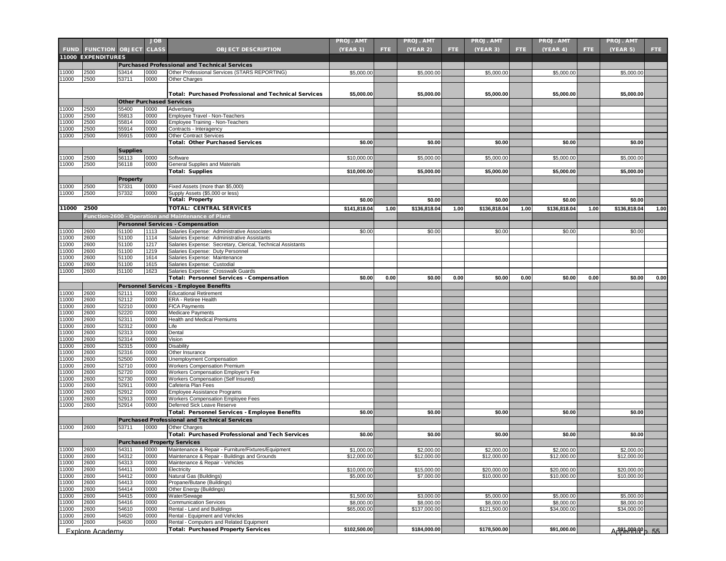|                |                           |                                 | <b>JOB</b>   |                                                                                            | <b>PROJ. AMT</b> |      | <b>PROJ. AMT</b> |      | <b>PROJ. AMT</b> |      | <b>PROJ. AMT</b> |      | <b>PROJ. AMT</b>        |      |
|----------------|---------------------------|---------------------------------|--------------|--------------------------------------------------------------------------------------------|------------------|------|------------------|------|------------------|------|------------------|------|-------------------------|------|
| <b>FUND</b>    | <b>FUNCTION OBJECT</b>    |                                 | <b>CLASS</b> | <b>OBJECT DESCRIPTION</b>                                                                  | <b>(YEAR 1)</b>  | FTE. | <b>(YEAR 2)</b>  | FTE. | (YEAR 3)         | FTE. | (YEAR 4)         | FTE. | <b>(YEAR 5)</b>         | FTE. |
|                | <b>11000 EXPENDITURES</b> |                                 |              |                                                                                            |                  |      |                  |      |                  |      |                  |      |                         |      |
|                |                           |                                 |              | <b>Purchased Professional and Technical Services</b>                                       |                  |      |                  |      |                  |      |                  |      |                         |      |
| 1000           | 2500                      | 53414                           | 0000         | Other Professional Services (STARS REPORTING)                                              | \$5,000.00       |      | \$5,000.00       |      | \$5,000.00       |      | \$5,000.00       |      | \$5,000.00              |      |
| 1000           | 2500                      | 53711                           | 0000         | Other Charges                                                                              |                  |      |                  |      |                  |      |                  |      |                         |      |
|                |                           |                                 |              |                                                                                            |                  |      |                  |      |                  |      |                  |      |                         |      |
|                |                           |                                 |              | <b>Total: Purchased Professional and Technical Services</b>                                | \$5,000.00       |      | \$5,000.00       |      | \$5,000.00       |      | \$5,000.00       |      | \$5,000.00              |      |
|                |                           | <b>Other Purchased Services</b> |              |                                                                                            |                  |      |                  |      |                  |      |                  |      |                         |      |
| 1000           | 2500                      | 55400                           | 0000         | Advertising                                                                                |                  |      |                  |      |                  |      |                  |      |                         |      |
| 1000           | 2500                      | 55813                           | 0000         | Employee Travel - Non-Teachers                                                             |                  |      |                  |      |                  |      |                  |      |                         |      |
| 1000           | 2500                      | 55814                           | 0000         | Employee Training - Non-Teachers                                                           |                  |      |                  |      |                  |      |                  |      |                         |      |
| 1000           | 2500                      | 55914                           | 0000         | Contracts - Interagency                                                                    |                  |      |                  |      |                  |      |                  |      |                         |      |
| 1000           | 2500                      | 55915                           | 0000         | <b>Other Contract Services</b>                                                             |                  |      |                  |      |                  |      |                  |      |                         |      |
|                |                           |                                 |              | <b>Total: Other Purchased Services</b>                                                     | \$0.00           |      | \$0.00           |      | \$0.00           |      | \$0.00           |      | \$0.00                  |      |
|                |                           | <b>Supplies</b>                 |              |                                                                                            |                  |      |                  |      |                  |      |                  |      |                         |      |
| 1000           | 2500                      | 56113                           | 0000         | Software                                                                                   | \$10,000.00      |      | \$5,000.00       |      | \$5,000.00       |      | \$5,000.00       |      | \$5,000.00              |      |
| 1000           | 2500                      | 56118                           | 0000         | General Supplies and Materials                                                             |                  |      |                  |      |                  |      |                  |      |                         |      |
|                |                           |                                 |              | <b>Total: Supplies</b>                                                                     | \$10,000.00      |      | \$5,000.00       |      | \$5,000.00       |      | \$5,000.00       |      | \$5,000.00              |      |
|                |                           | Property                        |              |                                                                                            |                  |      |                  |      |                  |      |                  |      |                         |      |
| 1000           | 2500                      | 57331                           | 0000         | Fixed Assets (more than \$5,000)                                                           |                  |      |                  |      |                  |      |                  |      |                         |      |
| 1000           | 2500                      | 57332                           | 0000         | Supply Assets (\$5,000 or less)                                                            |                  |      |                  |      |                  |      |                  |      |                         |      |
|                |                           |                                 |              | <b>Total: Property</b>                                                                     | \$0.00           |      | \$0.00           |      | \$0.00           |      | \$0.00           |      | \$0.00                  |      |
| 11000          | 2500                      |                                 |              | <b>TOTAL: CENTRAL SERVICES</b>                                                             | \$141,818.04     | 1.00 | \$136,818.04     | 1.00 | \$136,818.04     | 1.00 | \$136,818.04     | 1.00 | \$136,818.04            | 1.00 |
|                |                           |                                 |              | Function-2600 - Operation and Maintenance of Plant                                         |                  |      |                  |      |                  |      |                  |      |                         |      |
|                |                           |                                 |              |                                                                                            |                  |      |                  |      |                  |      |                  |      |                         |      |
|                | 2600                      | 51100                           | 1113         | <b>Personnel Services - Compensation</b>                                                   |                  |      |                  |      |                  |      |                  |      |                         |      |
| 1000<br>1000   | 2600                      | 51100                           | 1114         | Salaries Expense: Administrative Associates<br>Salaries Expense: Administrative Assistants | \$0.00           |      | \$0.00           |      | \$0.00           |      | \$0.00           |      | \$0.00                  |      |
| 1000           | 2600                      | 51100                           | 1217         | Salaries Expense: Secretary, Clerical, Technical Assistants                                |                  |      |                  |      |                  |      |                  |      |                         |      |
| 1000           | 2600                      | 51100                           | 1219         | Salaries Expense: Duty Personnel                                                           |                  |      |                  |      |                  |      |                  |      |                         |      |
| 1000           | 2600                      | 51100                           | 1614         | Salaries Expense: Maintenance                                                              |                  |      |                  |      |                  |      |                  |      |                         |      |
| 1000           | 2600                      | 51100                           | 1615         | Salaries Expense: Custodial                                                                |                  |      |                  |      |                  |      |                  |      |                         |      |
| 1000           | 2600                      | 51100                           | 1623         | Salaries Expense: Crosswalk Guards                                                         |                  |      |                  |      |                  |      |                  |      |                         |      |
|                |                           |                                 |              | Total: Personnel Services - Compensation                                                   | \$0.00           | 0.00 | \$0.00           | 0.00 | \$0.00           | 0.00 | \$0.00           | 0.00 | \$0.00                  | 0.00 |
|                |                           |                                 |              | <b>Personnel Services - Employee Benefits</b>                                              |                  |      |                  |      |                  |      |                  |      |                         |      |
| 1000           | 2600                      | 52111                           | 0000         | <b>Educational Retirement</b>                                                              |                  |      |                  |      |                  |      |                  |      |                         |      |
| 1000           | 2600                      | 52112                           | 0000         | ERA - Retiree Health                                                                       |                  |      |                  |      |                  |      |                  |      |                         |      |
| 1000           | 2600                      | 52210                           | 0000         | <b>FICA Payments</b>                                                                       |                  |      |                  |      |                  |      |                  |      |                         |      |
| 1000           | 2600                      | 52220                           | 0000         | Medicare Payments                                                                          |                  |      |                  |      |                  |      |                  |      |                         |      |
| 1000           | 2600                      | 52311                           | 0000         | Health and Medical Premiums                                                                |                  |      |                  |      |                  |      |                  |      |                         |      |
| 1000           | 2600                      | 52312                           | 0000         | Life                                                                                       |                  |      |                  |      |                  |      |                  |      |                         |      |
| 1000           | 2600                      | 52313                           | 0000         | Dental                                                                                     |                  |      |                  |      |                  |      |                  |      |                         |      |
| 1000           | 2600                      | 52314                           | 0000         | Vision                                                                                     |                  |      |                  |      |                  |      |                  |      |                         |      |
| 1000           | 2600                      | 52315                           | 0000         | <b>Disability</b>                                                                          |                  |      |                  |      |                  |      |                  |      |                         |      |
| 1000<br>1000   | 2600<br>2600              | 52316<br>52500                  | 0000         | Other Insurance                                                                            |                  |      |                  |      |                  |      |                  |      |                         |      |
| 1000           | 2600                      | 52710                           | 0000<br>0000 | Unemployment Compensation<br>Workers Compensation Premium                                  |                  |      |                  |      |                  |      |                  |      |                         |      |
| 1000           | 2600                      | 52720                           | 0000         | Workers Compensation Employer's Fee                                                        |                  |      |                  |      |                  |      |                  |      |                         |      |
| 1000           | 2600                      | 52730                           | 0000         | Workers Compensation (Self Insured)                                                        |                  |      |                  |      |                  |      |                  |      |                         |      |
| 1000           | 2600                      | 52911                           | 0000         | Cafeteria Plan Fees                                                                        |                  |      |                  |      |                  |      |                  |      |                         |      |
| 1000           | 2600                      | 52912                           | 0000         | Employee Assistance Programs                                                               |                  |      |                  |      |                  |      |                  |      |                         |      |
| 1000           | 2600                      | 52913                           | 0000         | Workers Compensation Employee Fees                                                         |                  |      |                  |      |                  |      |                  |      |                         |      |
| 1000           | 2600                      | 52914                           | 0000         | Deferred Sick Leave Reserve                                                                |                  |      |                  |      |                  |      |                  |      |                         |      |
|                |                           |                                 |              | <b>Total: Personnel Services - Employee Benefits</b>                                       | \$0.00           |      | \$0.00           |      | \$0.00           |      | \$0.00           |      | \$0.00                  |      |
|                |                           |                                 |              | <b>Purchased Professional and Technical Services</b>                                       |                  |      |                  |      |                  |      |                  |      |                         |      |
| 11000          | 2600                      | 53711                           | 0000         | Other Charges                                                                              |                  |      |                  |      |                  |      |                  |      |                         |      |
|                |                           |                                 |              | <b>Total: Purchased Professional and Tech Services</b>                                     | \$0.00           |      | \$0.00           |      | \$0.00           |      | \$0.00           |      | \$0.00                  |      |
|                |                           |                                 |              | <b>Purchased Property Services</b>                                                         |                  |      |                  |      |                  |      |                  |      |                         |      |
| 11000          | 2600                      | 54311                           | 0000         | Maintenance & Repair - Furniture/Fixtures/Equipment                                        | \$1,000.00       |      | \$2,000.00       |      | \$2,000.00       |      | \$2,000.00       |      | \$2,000.00              |      |
| 11000          | 2600                      | 54312                           | 0000         | Maintenance & Repair - Buildings and Grounds                                               | \$12,000.00      |      | \$12,000.00      |      | \$12,000.00      |      | \$12,000.00      |      | \$12,000.00             |      |
| 11000          | 2600                      | 54313                           | 0000         | Maintenance & Repair - Vehicles                                                            |                  |      |                  |      |                  |      |                  |      |                         |      |
| 11000          | 2600                      | 54411                           | 0000         | Electricity                                                                                | \$10,000.00      |      | \$15,000.00      |      | \$20,000.00      |      | \$20,000.00      |      | \$20,000.00             |      |
| 11000          | 2600                      | 54412                           | 0000         | Natural Gas (Buildings)                                                                    | \$5,000.00       |      | \$7,000.00       |      | \$10,000.00      |      | \$10,000.00      |      | \$10,000.00             |      |
| 11000          | 2600                      | 54413                           | 0000         | Propane/Butane (Buildings)                                                                 |                  |      |                  |      |                  |      |                  |      |                         |      |
| 11000          | 2600                      | 54414                           | 0000         | Other Energy (Buildings)                                                                   |                  |      |                  |      |                  |      |                  |      |                         |      |
| 11000          | 2600                      | 54415                           | 0000         | Water/Sewage                                                                               | \$1,500.00       |      | \$3,000.00       |      | \$5,000.00       |      | \$5,000.00       |      | \$5,000.00              |      |
| 11000          | 2600                      | 54416                           | 0000         | <b>Communication Services</b>                                                              | \$8,000.00       |      | \$8,000.00       |      | \$8,000.00       |      | \$8,000.00       |      | \$8,000.00              |      |
| 11000<br>11000 | 2600<br>2600              | 54610<br>54620                  | 0000         | Rental - Land and Buildings<br>Rental - Equipment and Vehicles                             | \$65,000.00      |      | \$137,000.00     |      | \$121,500.00     |      | \$34,000.00      |      | \$34,000.00             |      |
| 11000          | 2600                      | 54630                           | 0000<br>0000 | Rental - Computers and Related Equipment                                                   |                  |      |                  |      |                  |      |                  |      |                         |      |
|                |                           |                                 |              | <b>Total: Purchased Property Services</b>                                                  | \$102,500.00     |      | \$184,000.00     |      | \$178,500.00     |      | \$91,000.00      |      |                         |      |
|                | Explore Academy           |                                 |              |                                                                                            |                  |      |                  |      |                  |      |                  |      | <u>An 1994, An 1994</u> |      |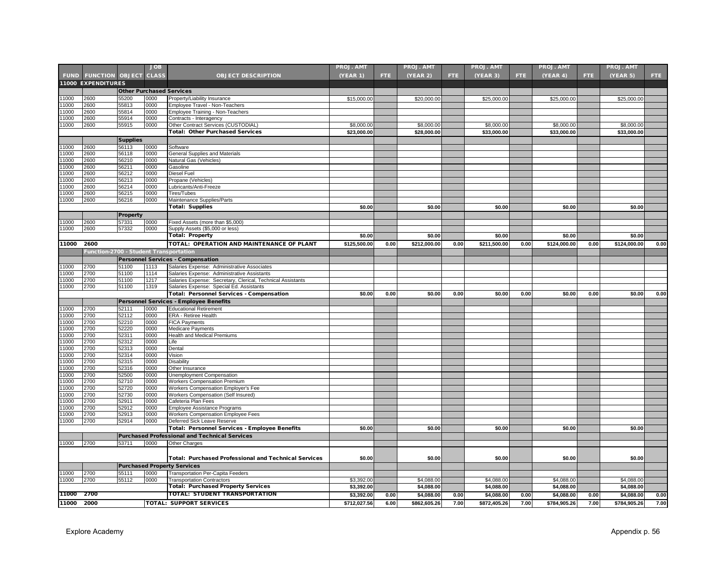|                |                                        |                                 | JOB          |                                                                        | <b>PROJ. AMT</b>         |      | <b>PROJ. AMT</b>         |            | <b>PROJ. AMT</b>         |      | <b>PROJ. AMT</b>         |      | <b>PROJ. AMT</b>         |      |
|----------------|----------------------------------------|---------------------------------|--------------|------------------------------------------------------------------------|--------------------------|------|--------------------------|------------|--------------------------|------|--------------------------|------|--------------------------|------|
|                | <b>FUND FUNCTION OBJECT</b>            |                                 | <b>CLASS</b> | <b>OBJECT DESCRIPTION</b>                                              | (YEAR 1)                 | FTE. | (YEAR 2)                 | <b>FTE</b> | (YEAR 3)                 | FTE. | (YEAR 4)                 | FTE. | <b>(YEAR 5)</b>          | FTE. |
|                | <b>11000 EXPENDITURES</b>              |                                 |              |                                                                        |                          |      |                          |            |                          |      |                          |      |                          |      |
|                |                                        | <b>Other Purchased Services</b> |              |                                                                        |                          |      |                          |            |                          |      |                          |      |                          |      |
| 1000           | 2600                                   | 55200                           | 0000         | Property/Liability Insurance                                           | \$15,000.00              |      | \$20,000.00              |            | \$25,000.00              |      | \$25,000.00              |      | \$25,000.00              |      |
| 11000          | 2600                                   | 55813                           | 0000         | Employee Travel - Non-Teachers                                         |                          |      |                          |            |                          |      |                          |      |                          |      |
| 11000          | 2600                                   | 55814                           | 0000         | Employee Training - Non-Teachers                                       |                          |      |                          |            |                          |      |                          |      |                          |      |
| 11000          | 2600                                   | 55914                           | 0000         | Contracts - Interagency                                                |                          |      |                          |            |                          |      |                          |      |                          |      |
| 1000           | 2600                                   | 55915                           | 0000         | Other Contract Services (CUSTODIAL)                                    | \$8,000.00               |      | \$8,000.00               |            | \$8,000.00               |      | \$8,000.00               |      | \$8,000.00               |      |
|                |                                        |                                 |              | <b>Total: Other Purchased Services</b>                                 | \$23,000.00              |      | \$28.000.00              |            | \$33,000.00              |      | \$33.000.00              |      | \$33.000.00              |      |
|                |                                        | <b>Supplies</b>                 |              |                                                                        |                          |      |                          |            |                          |      |                          |      |                          |      |
| 11000          | 2600                                   | 56113                           | 0000         | Software                                                               |                          |      |                          |            |                          |      |                          |      |                          |      |
| 11000          | 2600                                   | 56118                           | 0000         | General Supplies and Materials                                         |                          |      |                          |            |                          |      |                          |      |                          |      |
| 11000          | 2600                                   | 56210                           | 0000         | Natural Gas (Vehicles)                                                 |                          |      |                          |            |                          |      |                          |      |                          |      |
| 1000           | 2600                                   | 56211                           | 0000         | Gasoline                                                               |                          |      |                          |            |                          |      |                          |      |                          |      |
| 11000          | 2600                                   | 56212                           | 0000         | Diesel Fuel                                                            |                          |      |                          |            |                          |      |                          |      |                          |      |
| 11000          | 2600                                   | 56213                           | 0000         | Propane (Vehicles)                                                     |                          |      |                          |            |                          |      |                          |      |                          |      |
| 11000          | 2600                                   | 56214                           | 0000         | Lubricants/Anti-Freeze                                                 |                          |      |                          |            |                          |      |                          |      |                          |      |
| 1000           | 2600                                   | 56215                           | 0000         | Tires/Tubes                                                            |                          |      |                          |            |                          |      |                          |      |                          |      |
| 11000          | 2600                                   | 56216                           | 0000         | Maintenance Supplies/Parts                                             | \$0.00                   |      | \$0.00                   |            | \$0.00                   |      | \$0.00                   |      | \$0.00                   |      |
|                |                                        |                                 |              | <b>Total: Supplies</b>                                                 |                          |      |                          |            |                          |      |                          |      |                          |      |
|                |                                        | <b>Property</b>                 |              |                                                                        |                          |      |                          |            |                          |      |                          |      |                          |      |
| 1000           | 2600                                   | 57331                           | 0000         | Fixed Assets (more than \$5,000)                                       |                          |      |                          |            |                          |      |                          |      |                          |      |
| 11000          | 2600                                   | 57332                           | 0000         | Supply Assets (\$5,000 or less)                                        |                          |      |                          |            |                          |      |                          |      |                          |      |
|                |                                        |                                 |              | <b>Total: Property</b>                                                 | \$0.00                   |      | \$0.00                   |            | \$0.00                   |      | \$0.00                   |      | \$0.00                   |      |
| 11000          | 2600                                   |                                 |              | TOTAL: OPERATION AND MAINTENANCE OF PLANT                              | \$125,500.00             | 0.00 | \$212,000.00             | 0.00       | \$211,500.00             | 0.00 | \$124,000.00             | 0.00 | \$124,000.00             | 0.00 |
|                | Function-2700 - Student Transportation |                                 |              |                                                                        |                          |      |                          |            |                          |      |                          |      |                          |      |
|                |                                        |                                 |              | <b>Personnel Services - Compensation</b>                               |                          |      |                          |            |                          |      |                          |      |                          |      |
| 11000          | 2700                                   | 51100                           | 1113         | Salaries Expense: Administrative Associates                            |                          |      |                          |            |                          |      |                          |      |                          |      |
| 1000           | 2700                                   | 51100                           | 1114         | Salaries Expense: Administrative Assistants                            |                          |      |                          |            |                          |      |                          |      |                          |      |
| 1000           | 2700                                   | 51100                           | 1217         | Salaries Expense: Secretary, Clerical, Technical Assistants            |                          |      |                          |            |                          |      |                          |      |                          |      |
| 11000          | 2700                                   | 51100                           | 1319         | Salaries Expense: Special Ed. Assistants                               |                          |      |                          |            |                          |      |                          |      |                          |      |
|                |                                        |                                 |              | Total: Personnel Services - Compensation                               | \$0.00                   | 0.00 | \$0.00                   | 0.00       | \$0.00                   | 0.00 | \$0.00                   | 0.00 | \$0.00                   | 0.00 |
|                |                                        |                                 |              | <b>Personnel Services - Employee Benefits</b>                          |                          |      |                          |            |                          |      |                          |      |                          |      |
| 1000           | 2700                                   | 52111                           | 0000         | <b>Educational Retirement</b>                                          |                          |      |                          |            |                          |      |                          |      |                          |      |
| 1000           | 2700                                   | 52112                           | 0000         | ERA - Retiree Health                                                   |                          |      |                          |            |                          |      |                          |      |                          |      |
| 11000          | 2700                                   | 52210                           | 0000         | <b>FICA Payments</b>                                                   |                          |      |                          |            |                          |      |                          |      |                          |      |
| 11000          | 2700                                   | 52220                           | 0000         | Medicare Payments                                                      |                          |      |                          |            |                          |      |                          |      |                          |      |
| 11000          | 2700                                   | 52311                           | 0000         | <b>Health and Medical Premiums</b>                                     |                          |      |                          |            |                          |      |                          |      |                          |      |
| 1000           | 2700                                   | 52312                           | 0000         | Life                                                                   |                          |      |                          |            |                          |      |                          |      |                          |      |
| 11000          | 2700                                   | 52313                           | 0000         | Dental                                                                 |                          |      |                          |            |                          |      |                          |      |                          |      |
| 11000          | 2700                                   | 52314                           | 0000         | Vision                                                                 |                          |      |                          |            |                          |      |                          |      |                          |      |
| 11000<br>11000 | 2700<br>2700                           | 52315                           | 0000<br>0000 | Disability                                                             |                          |      |                          |            |                          |      |                          |      |                          |      |
| 1000           | 2700                                   | 52316<br>52500                  | 0000         | Other Insurance                                                        |                          |      |                          |            |                          |      |                          |      |                          |      |
| 11000          | 2700                                   | 52710                           | 0000         | Unemployment Compensation<br><b>Workers Compensation Premium</b>       |                          |      |                          |            |                          |      |                          |      |                          |      |
| 1000           | 2700                                   | 52720                           | 0000         | Workers Compensation Employer's Fee                                    |                          |      |                          |            |                          |      |                          |      |                          |      |
| 11000          | 2700                                   | 52730                           | 0000         | Workers Compensation (Self Insured)                                    |                          |      |                          |            |                          |      |                          |      |                          |      |
| 1000           | 2700                                   | 52911                           | 0000         | Cafeteria Plan Fees                                                    |                          |      |                          |            |                          |      |                          |      |                          |      |
| 1000           | 2700                                   | 52912                           | 0000         | Employee Assistance Programs                                           |                          |      |                          |            |                          |      |                          |      |                          |      |
| 11000          | 2700                                   | 52913                           | 0000         | <b>Workers Compensation Employee Fees</b>                              |                          |      |                          |            |                          |      |                          |      |                          |      |
| 11000          | 2700                                   | 52914                           | 0000         | Deferred Sick Leave Reserve                                            |                          |      |                          |            |                          |      |                          |      |                          |      |
|                |                                        |                                 |              | <b>Total: Personnel Services - Employee Benefits</b>                   | \$0.00                   |      | \$0.00                   |            | \$0.00                   |      | \$0.00                   |      | \$0.00                   |      |
|                |                                        |                                 |              | <b>Purchased Professional and Technical Services</b>                   |                          |      |                          |            |                          |      |                          |      |                          |      |
| 11000          | 2700                                   | 53711                           | 0000         | Other Charges                                                          |                          |      |                          |            |                          |      |                          |      |                          |      |
|                |                                        |                                 |              |                                                                        |                          |      |                          |            |                          |      |                          |      |                          |      |
|                |                                        |                                 |              | <b>Total: Purchased Professional and Technical Services</b>            | \$0.00                   |      | \$0.00                   |            | \$0.00                   |      | \$0.00                   |      | \$0.00                   |      |
|                |                                        |                                 |              |                                                                        |                          |      |                          |            |                          |      |                          |      |                          |      |
|                |                                        |                                 |              | <b>Purchased Property Services</b>                                     |                          |      |                          |            |                          |      |                          |      |                          |      |
| 11000<br>1000  | 2700<br>2700                           | 55111                           | 0000<br>0000 | Transportation Per-Capita Feeders<br><b>Transportation Contractors</b> |                          |      |                          |            |                          |      |                          |      |                          |      |
|                |                                        | 55112                           |              | <b>Total: Purchased Property Services</b>                              | \$3,392.00<br>\$3,392.00 |      | \$4,088.00<br>\$4,088.00 |            | \$4,088.00<br>\$4,088.00 |      | \$4,088.00<br>\$4,088.00 |      | \$4,088.00<br>\$4,088.00 |      |
|                | 2700                                   |                                 |              |                                                                        |                          |      |                          |            |                          |      |                          |      |                          |      |
| 11000          |                                        |                                 |              | TOTAL: STUDENT TRANSPORTATION                                          | \$3,392.00               | 0.00 | \$4,088.00               | 0.00       | \$4,088.00               | 0.00 | \$4,088.00               | 0.00 | \$4,088.00               | 0.00 |
| 11000          | 2000                                   |                                 |              | <b>TOTAL: SUPPORT SERVICES</b>                                         | \$712,027.56             | 6.00 | \$862,605.26             | 7.00       | \$872,405.26             | 7.00 | \$784,905.26             | 7.00 | \$784,905.26             | 7.00 |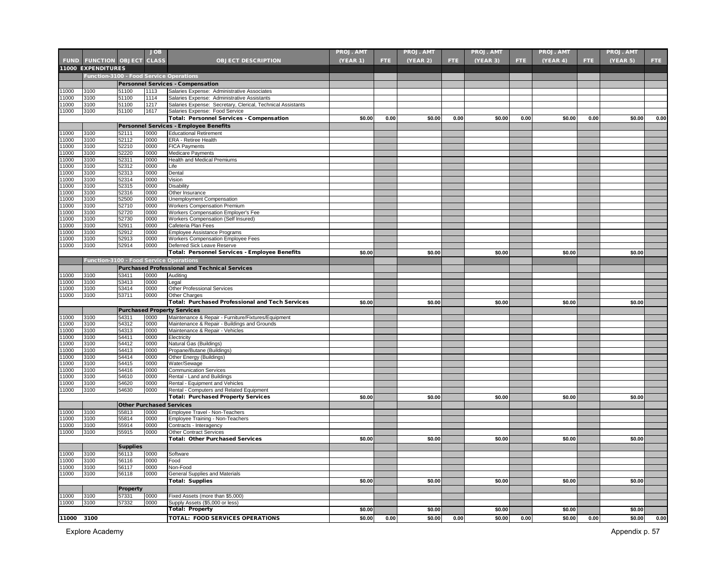|               |                                         |                                 | <b>JOB</b>   |                                                                   | <b>PROJ. AMT</b> |      | <b>PROJ. AMT</b> |      | PROJ. AMT |      | PROJ. AMT |      | <b>PROJ. AMT</b> |      |
|---------------|-----------------------------------------|---------------------------------|--------------|-------------------------------------------------------------------|------------------|------|------------------|------|-----------|------|-----------|------|------------------|------|
|               | <b>FUND FUNCTION OBJECT CLASS</b>       |                                 |              | <b>OBJECT DESCRIPTION</b>                                         | (YEAR 1)         | FTE. | (YEAR 2)         | FTE. | (YEAR 3)  | FTE. | (YEAR 4)  | FTE. | (YEAR 5)         | FTE: |
|               | <b>11000 EXPENDITURES</b>               |                                 |              |                                                                   |                  |      |                  |      |           |      |           |      |                  |      |
|               |                                         |                                 |              | Function-3100 - Food Service Operations                           |                  |      |                  |      |           |      |           |      |                  |      |
|               |                                         |                                 |              | <b>Personnel Services - Compensation</b>                          |                  |      |                  |      |           |      |           |      |                  |      |
| 1000          | 3100                                    | 51100                           | 1113         | Salaries Expense: Administrative Associates                       |                  |      |                  |      |           |      |           |      |                  |      |
| 1000          | 3100                                    | 51100                           | 1114         | Salaries Expense: Administrative Assistants                       |                  |      |                  |      |           |      |           |      |                  |      |
| 1000          | 3100                                    | 51100                           | 1217         | Salaries Expense: Secretary, Clerical, Technical Assistants       |                  |      |                  |      |           |      |           |      |                  |      |
| 11000         | 3100                                    | 51100                           | 1617         | Salaries Expense: Food Service                                    |                  |      |                  |      |           |      |           |      |                  |      |
|               |                                         |                                 |              | Total: Personnel Services - Compensation                          | \$0.00           | 0.00 | \$0.00           | 0.00 | \$0.00    | 0.00 | \$0.00    | 0.00 | \$0.00           | 0.00 |
|               |                                         |                                 |              | Personnel Services - Employee Benefits                            |                  |      |                  |      |           |      |           |      |                  |      |
| 11000         | 3100                                    | 52111                           | 0000         | <b>Educational Retirement</b>                                     |                  |      |                  |      |           |      |           |      |                  |      |
| 11000         | 3100                                    | 52112                           | 0000         | ERA - Retiree Health                                              |                  |      |                  |      |           |      |           |      |                  |      |
| 11000         | 3100                                    | 52210                           | 0000         | <b>FICA Payments</b>                                              |                  |      |                  |      |           |      |           |      |                  |      |
| 11000         | 3100                                    | 52220                           | 0000         | Medicare Payments                                                 |                  |      |                  |      |           |      |           |      |                  |      |
| 1000          | 3100                                    | 52311                           | 0000         | <b>Health and Medical Premiums</b>                                |                  |      |                  |      |           |      |           |      |                  |      |
| 1000<br>1000  | 3100<br>3100                            | 52312<br>52313                  | 0000<br>0000 | Life<br>Dental                                                    |                  |      |                  |      |           |      |           |      |                  |      |
| 1000          | 3100                                    | 52314                           | 0000         | Vision                                                            |                  |      |                  |      |           |      |           |      |                  |      |
| 1000          | 3100                                    | 52315                           | 0000         | Disability                                                        |                  |      |                  |      |           |      |           |      |                  |      |
| 1000          | 3100                                    | 52316                           | 0000         | Other Insurance                                                   |                  |      |                  |      |           |      |           |      |                  |      |
| 1000          | 3100                                    | 52500                           | 0000         | Unemployment Compensation                                         |                  |      |                  |      |           |      |           |      |                  |      |
| 1000          | 3100                                    | 52710                           | 0000         | <b>Workers Compensation Premium</b>                               |                  |      |                  |      |           |      |           |      |                  |      |
| 1000          | 3100                                    | 52720                           | 0000         | Workers Compensation Employer's Fee                               |                  |      |                  |      |           |      |           |      |                  |      |
| 11000         | 3100                                    | 2730                            | 0000         | Workers Compensation (Self Insured)                               |                  |      |                  |      |           |      |           |      |                  |      |
| 1000          | 3100                                    | 52911                           | 0000         | Cafeteria Plan Fees                                               |                  |      |                  |      |           |      |           |      |                  |      |
| 1000<br>11000 | 3100                                    | 52912                           | 0000         | Employee Assistance Programs                                      |                  |      |                  |      |           |      |           |      |                  |      |
| 11000         | 3100<br>3100                            | 52913<br>52914                  | 0000<br>0000 | Workers Compensation Employee Fees<br>Deferred Sick Leave Reserve |                  |      |                  |      |           |      |           |      |                  |      |
|               |                                         |                                 |              | Total: Personnel Services - Employee Benefits                     | \$0.00           |      | \$0.00           |      | \$0.00    |      | \$0.00    |      | \$0.00           |      |
|               | Function-3100 - Food Service Operations |                                 |              |                                                                   |                  |      |                  |      |           |      |           |      |                  |      |
|               |                                         |                                 |              |                                                                   |                  |      |                  |      |           |      |           |      |                  |      |
| 1000          | 3100                                    | 53411                           | 0000         | <b>Purchased Professional and Technical Services</b>              |                  |      |                  |      |           |      |           |      |                  |      |
| 1000          | 3100                                    | 53413                           | 0000         | Auditing<br>Legal                                                 |                  |      |                  |      |           |      |           |      |                  |      |
| 1000          | 3100                                    | 3414                            | 0000         | Other Professional Services                                       |                  |      |                  |      |           |      |           |      |                  |      |
| 11000         | 3100                                    | 53711                           | 0000         | <b>Other Charges</b>                                              |                  |      |                  |      |           |      |           |      |                  |      |
|               |                                         |                                 |              | <b>Total: Purchased Professional and Tech Services</b>            | \$0.00           |      | \$0.00           |      | \$0.00    |      | \$0.00    |      | \$0.00           |      |
|               |                                         |                                 |              | <b>Purchased Property Services</b>                                |                  |      |                  |      |           |      |           |      |                  |      |
| 11000         | 3100                                    | 54311                           | 0000         | Maintenance & Repair - Furniture/Fixtures/Equipment               |                  |      |                  |      |           |      |           |      |                  |      |
| 11000         | 3100                                    | 54312                           | 0000         | Maintenance & Repair - Buildings and Grounds                      |                  |      |                  |      |           |      |           |      |                  |      |
| 11000         | 3100                                    | 54313                           | 0000         | Maintenance & Repair - Vehicles                                   |                  |      |                  |      |           |      |           |      |                  |      |
| 1000          | 3100                                    | 54411                           | 0000         | Electricity                                                       |                  |      |                  |      |           |      |           |      |                  |      |
| 1000          | 3100                                    | 54412                           | 0000         | Natural Gas (Buildings)                                           |                  |      |                  |      |           |      |           |      |                  |      |
| 1000          | 3100                                    | 54413                           | 0000         | Propane/Butane (Buildings)                                        |                  |      |                  |      |           |      |           |      |                  |      |
| 1000<br>1000  | 3100<br>3100                            | 54414<br>54415                  | 0000<br>0000 | Other Energy (Buildings)<br>Water/Sewage                          |                  |      |                  |      |           |      |           |      |                  |      |
| 1000          | 3100                                    | 54416                           | 0000         | <b>Communication Services</b>                                     |                  |      |                  |      |           |      |           |      |                  |      |
| 1000          | 3100                                    | 54610                           | 0000         | Rental - Land and Buildings                                       |                  |      |                  |      |           |      |           |      |                  |      |
| 1000          | 3100                                    | 54620                           | 0000         | Rental - Equipment and Vehicles                                   |                  |      |                  |      |           |      |           |      |                  |      |
| 11000         | 3100                                    | 54630                           | 0000         | Rental - Computers and Related Equipment                          |                  |      |                  |      |           |      |           |      |                  |      |
|               |                                         |                                 |              | <b>Total: Purchased Property Services</b>                         | \$0.00           |      | \$0.00           |      | \$0.00    |      | \$0.00    |      | \$0.00           |      |
|               |                                         | <b>Other Purchased Services</b> |              |                                                                   |                  |      |                  |      |           |      |           |      |                  |      |
| 11000         | 3100                                    | 55813                           | 0000         | Employee Travel - Non-Teachers                                    |                  |      |                  |      |           |      |           |      |                  |      |
| 11000         | 3100                                    | 55814                           | 0000         | Employee Training - Non-Teachers                                  |                  |      |                  |      |           |      |           |      |                  |      |
| 1000          | 3100                                    | 55914                           | 0000         | Contracts - Interagency                                           |                  |      |                  |      |           |      |           |      |                  |      |
| 11000         | 3100                                    | 55915                           | 0000         | <b>Other Contract Services</b>                                    |                  |      |                  |      |           |      |           |      |                  |      |
|               |                                         |                                 |              | <b>Total: Other Purchased Services</b>                            | \$0.00           |      | \$0.00           |      | \$0.00    |      | \$0.00    |      | \$0.00           |      |
|               |                                         | <b>Supplies</b>                 |              |                                                                   |                  |      |                  |      |           |      |           |      |                  |      |
| 1000          | 3100                                    | 56113                           | 0000         | Software                                                          |                  |      |                  |      |           |      |           |      |                  |      |
| 1000          | 3100                                    | 56116                           | 0000         | Food                                                              |                  |      |                  |      |           |      |           |      |                  |      |
| 1000          | 3100                                    | 56117                           | 0000         | Non-Food                                                          |                  |      |                  |      |           |      |           |      |                  |      |
| 11000         | 3100                                    | 56118                           | 0000         | General Supplies and Materials                                    |                  |      |                  |      |           |      |           |      |                  |      |
|               |                                         |                                 |              | <b>Total: Supplies</b>                                            | \$0.00           |      | \$0.00           |      | \$0.00    |      | \$0.00    |      | \$0.00           |      |
|               |                                         | <b>Property</b>                 |              |                                                                   |                  |      |                  |      |           |      |           |      |                  |      |
| 1000          | 3100                                    | 57331                           | 0000         | Fixed Assets (more than \$5,000)                                  |                  |      |                  |      |           |      |           |      |                  |      |
| 1000          | 3100                                    | 57332                           | 0000         | Supply Assets (\$5,000 or less)                                   |                  |      |                  |      |           |      |           |      |                  |      |
|               |                                         |                                 |              | <b>Total: Property</b>                                            | \$0.00           |      | \$0.00           |      | \$0.00    |      | \$0.00    |      | \$0.00           |      |
| 11000 3100    |                                         |                                 |              | TOTAL: FOOD SERVICES OPERATIONS                                   | \$0.00           | 0.00 | \$0.00           | 0.00 | \$0.00    | 0.00 | \$0.00    | 0.00 | \$0.00           | 0.00 |